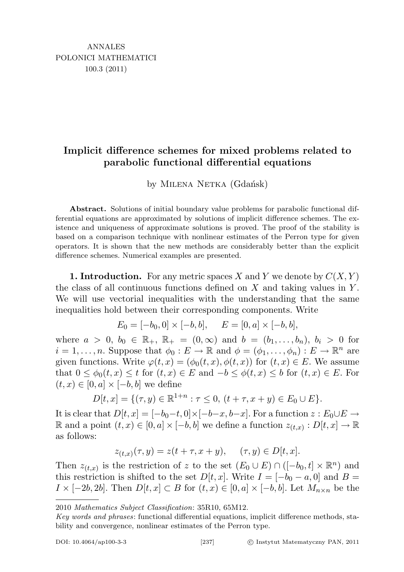## Implicit difference schemes for mixed problems related to parabolic functional differential equations

by MILENA NETKA (Gdańsk)

Abstract. Solutions of initial boundary value problems for parabolic functional differential equations are approximated by solutions of implicit difference schemes. The existence and uniqueness of approximate solutions is proved. The proof of the stability is based on a comparison technique with nonlinear estimates of the Perron type for given operators. It is shown that the new methods are considerably better than the explicit difference schemes. Numerical examples are presented.

**1. Introduction.** For any metric spaces X and Y we denote by  $C(X, Y)$ the class of all continuous functions defined on  $X$  and taking values in  $Y$ . We will use vectorial inequalities with the understanding that the same inequalities hold between their corresponding components. Write

$$
E_0 = [-b_0, 0] \times [-b, b], \quad E = [0, a] \times [-b, b],
$$

where  $a > 0, b_0 \in \mathbb{R}_+$ ,  $\mathbb{R}_+ = (0, \infty)$  and  $b = (b_1, \ldots, b_n), b_i > 0$  for  $i = 1, \ldots, n$ . Suppose that  $\phi_0 : E \to \mathbb{R}$  and  $\phi = (\phi_1, \ldots, \phi_n) : E \to \mathbb{R}^n$  are given functions. Write  $\varphi(t,x) = (\phi_0(t,x), \phi(t,x))$  for  $(t,x) \in E$ . We assume that  $0 \leq \phi_0(t,x) \leq t$  for  $(t,x) \in E$  and  $-b \leq \phi(t,x) \leq b$  for  $(t,x) \in E$ . For  $(t, x) \in [0, a] \times [-b, b]$  we define

$$
D[t, x] = \{ (\tau, y) \in \mathbb{R}^{1+n} : \tau \le 0, (t + \tau, x + y) \in E_0 \cup E \}.
$$

It is clear that  $D[t, x] = [-b_0-t, 0] \times [-b-x, b-x]$ . For a function  $z : E_0 \cup E \to$ R and a point  $(t, x) \in [0, a] \times [-b, b]$  we define a function  $z_{(t,x)}: D[t, x] \rightarrow \mathbb{R}$ as follows:

$$
z_{(t,x)}(\tau, y) = z(t + \tau, x + y), \quad (\tau, y) \in D[t, x].
$$

Then  $z_{(t,x)}$  is the restriction of z to the set  $(E_0 \cup E) \cap ([-b_0, t] \times \mathbb{R}^n)$  and this restriction is shifted to the set  $D[t, x]$ . Write  $I = [-b_0 - a, 0]$  and  $B =$  $I \times [-2b, 2b]$ . Then  $D[t, x] \subset B$  for  $(t, x) \in [0, a] \times [-b, b]$ . Let  $M_{n \times n}$  be the

<sup>2010</sup> Mathematics Subject Classification: 35R10, 65M12.

Key words and phrases: functional differential equations, implicit difference methods, stability and convergence, nonlinear estimates of the Perron type.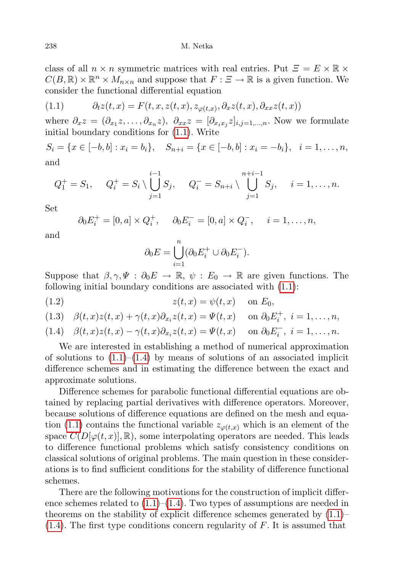class of all  $n \times n$  symmetric matrices with real entries. Put  $\Xi = E \times \mathbb{R} \times$  $C(B,\mathbb{R})\times\mathbb{R}^n\times M_{n\times n}$  and suppose that  $F:\mathcal{Z}\to\mathbb{R}$  is a given function. We consider the functional differential equation

<span id="page-1-0"></span>(1.1) 
$$
\partial_t z(t,x) = F(t,x,z(t,x),z_{\varphi(t,x)},\partial_x z(t,x),\partial_{xx} z(t,x))
$$

where  $\partial_x z = (\partial_{x_1} z, \ldots, \partial_{x_n} z), \ \partial_{xx} z = [\partial_{x_i x_j} z]_{i,j=1,\ldots,n}$ . Now we formulate initial boundary conditions for [\(1.1\)](#page-1-0). Write

 $S_i = \{x \in [-b, b] : x_i = b_i\}, \quad S_{n+i} = \{x \in [-b, b] : x_i = -b_i\}, \quad i = 1, \ldots, n,$ and

$$
Q_1^+ = S_1
$$
,  $Q_i^+ = S_i \setminus \bigcup_{j=1}^{i-1} S_j$ ,  $Q_i^- = S_{n+i} \setminus \bigcup_{j=1}^{n+i-1} S_j$ ,  $i = 1, ..., n$ .

Set

$$
\partial_0 E_i^+ = [0, a] \times Q_i^+, \quad \partial_0 E_i^- = [0, a] \times Q_i^-, \quad i = 1, \dots, n,
$$

and

$$
\partial_0 E = \bigcup_{i=1}^n (\partial_0 E_i^+ \cup \partial_0 E_i^-).
$$

Suppose that  $\beta, \gamma, \Psi : \partial_0 E \to \mathbb{R}, \psi : E_0 \to \mathbb{R}$  are given functions. The following initial boundary conditions are associated with [\(1.1\)](#page-1-0):

$$
(1.2) \t\t z(t,x) = \psi(t,x) \quad \text{on } E_0,
$$

$$
(1.3) \quad \beta(t,x)z(t,x) + \gamma(t,x)\partial_{x_i}z(t,x) = \Psi(t,x) \quad \text{on } \partial_0 E_i^+, \ i = 1,\ldots,n,
$$

<span id="page-1-1"></span>(1.4) 
$$
\beta(t,x)z(t,x) - \gamma(t,x)\partial_{x_i}z(t,x) = \Psi(t,x) \quad \text{on } \partial_0 E_i^-, \ i = 1,\ldots,n.
$$

We are interested in establishing a method of numerical approximation of solutions to  $(1.1)$ – $(1.4)$  by means of solutions of an associated implicit difference schemes and in estimating the difference between the exact and approximate solutions.

Difference schemes for parabolic functional differential equations are obtained by replacing partial derivatives with difference operators. Moreover, because solutions of difference equations are defined on the mesh and equa-tion [\(1.1\)](#page-1-0) contains the functional variable  $z_{\varphi(t,x)}$  which is an element of the space  $C(D[\varphi(t,x)], \mathbb{R})$ , some interpolating operators are needed. This leads to difference functional problems which satisfy consistency conditions on classical solutions of original problems. The main question in these considerations is to find sufficient conditions for the stability of difference functional schemes.

There are the following motivations for the construction of implicit difference schemes related to  $(1.1)$ – $(1.4)$ . Two types of assumptions are needed in theorems on the stability of explicit difference schemes generated by [\(1.1\)](#page-1-0)–  $(1.4)$ . The first type conditions concern regularity of F. It is assumed that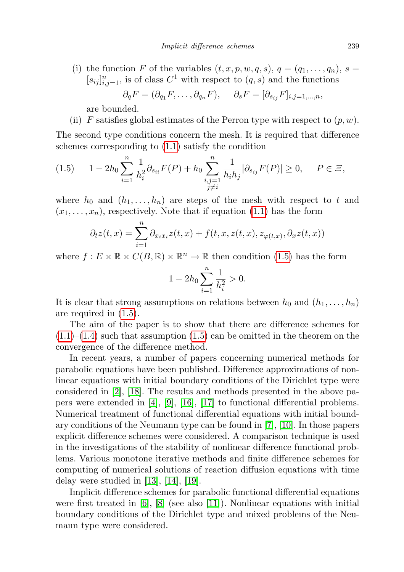(i) the function F of the variables  $(t, x, p, w, q, s), q = (q_1, \ldots, q_n), s =$  $[s_{ij}]_{i,j=1}^n$ , is of class  $C^1$  with respect to  $(q, s)$  and the functions  $\partial_q F = (\partial_{q_1} F, \dots, \partial_{q_n} F), \quad \partial_s F = [\partial_{s_{ij}} F]_{i,j=1,\dots,n},$ 

are bounded.

(ii) F satisfies global estimates of the Perron type with respect to  $(p, w)$ .

The second type conditions concern the mesh. It is required that difference schemes corresponding to [\(1.1\)](#page-1-0) satisfy the condition

<span id="page-2-0"></span>
$$
(1.5) \t 1 - 2h_0 \sum_{i=1}^n \frac{1}{h_i^2} \partial_{s_{ii}} F(P) + h_0 \sum_{\substack{i,j=1 \ j \neq i}}^n \frac{1}{h_i h_j} |\partial_{s_{ij}} F(P)| \ge 0, \t P \in \Xi,
$$

where  $h_0$  and  $(h_1, \ldots, h_n)$  are steps of the mesh with respect to t and  $(x_1, \ldots, x_n)$ , respectively. Note that if equation [\(1.1\)](#page-1-0) has the form

$$
\partial_t z(t,x) = \sum_{i=1}^n \partial_{x_i x_i} z(t,x) + f(t,x,z(t,x),z_{\varphi(t,x)},\partial_x z(t,x))
$$

where  $f: E \times \mathbb{R} \times C(B, \mathbb{R}) \times \mathbb{R}^n \to \mathbb{R}$  then condition [\(1.5\)](#page-2-0) has the form

$$
1 - 2h_0 \sum_{i=1}^{n} \frac{1}{h_i^2} > 0.
$$

It is clear that strong assumptions on relations between  $h_0$  and  $(h_1, \ldots, h_n)$ are required in [\(1.5\)](#page-2-0).

The aim of the paper is to show that there are difference schemes for  $(1.1)$ – $(1.4)$  such that assumption  $(1.5)$  can be omitted in the theorem on the convergence of the difference method.

In recent years, a number of papers concerning numerical methods for parabolic equations have been published. Difference approximations of nonlinear equations with initial boundary conditions of the Dirichlet type were considered in [\[2\]](#page-21-0), [\[18\]](#page-21-1). The results and methods presented in the above papers were extended in [\[4\]](#page-21-2), [\[9\]](#page-21-3), [\[16\]](#page-21-4), [\[17\]](#page-21-5) to functional differential problems. Numerical treatment of functional differential equations with initial boundary conditions of the Neumann type can be found in [\[7\]](#page-21-6), [\[10\]](#page-21-7). In those papers explicit difference schemes were considered. A comparison technique is used in the investigations of the stability of nonlinear difference functional problems. Various monotone iterative methods and finite difference schemes for computing of numerical solutions of reaction diffusion equations with time delay were studied in [\[13\]](#page-21-8), [\[14\]](#page-21-9), [\[19\]](#page-21-10).

Implicit difference schemes for parabolic functional differential equations were first treated in  $[6]$ ,  $[8]$  (see also  $[11]$ ). Nonlinear equations with initial boundary conditions of the Dirichlet type and mixed problems of the Neumann type were considered.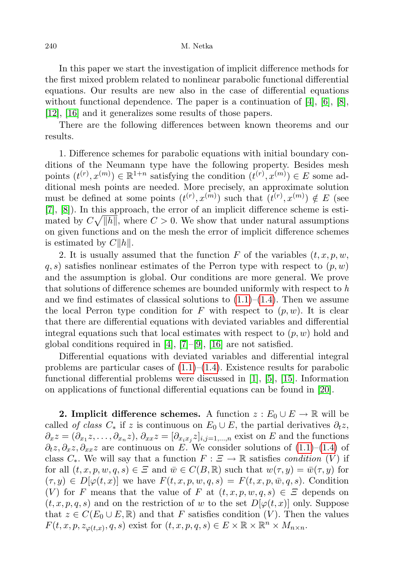In this paper we start the investigation of implicit difference methods for the first mixed problem related to nonlinear parabolic functional differential equations. Our results are new also in the case of differential equations without functional dependence. The paper is a continuation of [\[4\]](#page-21-2), [\[6\]](#page-21-11), [\[8\]](#page-21-12), [\[12\]](#page-21-14), [\[16\]](#page-21-4) and it generalizes some results of those papers.

There are the following differences between known theorems and our results.

1. Difference schemes for parabolic equations with initial boundary conditions of the Neumann type have the following property. Besides mesh points  $(t^{(r)}, x^{(m)}) \in \mathbb{R}^{1+n}$  satisfying the condition  $(t^{(r)}, x^{(m)}) \in E$  some additional mesh points are needed. More precisely, an approximate solution must be defined at some points  $(t^{(r)}, x^{(m)})$  such that  $(t^{(r)}, x^{(m)}) \notin E$  (see [\[7\]](#page-21-6), [\[8\]](#page-21-12)). In this approach, the error of an implicit difference scheme is estimated by  $C\sqrt{\Vert h \Vert}$ , where  $C > 0$ . We show that under natural assumptions on given functions and on the mesh the error of implicit difference schemes is estimated by  $C||h||$ .

2. It is usually assumed that the function F of the variables  $(t, x, p, w, \mathbf{z})$  $q, s$ ) satisfies nonlinear estimates of the Perron type with respect to  $(p, w)$ and the assumption is global. Our conditions are more general. We prove that solutions of difference schemes are bounded uniformly with respect to  $h$ and we find estimates of classical solutions to  $(1.1)$ – $(1.4)$ . Then we assume the local Perron type condition for F with respect to  $(p, w)$ . It is clear that there are differential equations with deviated variables and differential integral equations such that local estimates with respect to  $(p, w)$  hold and global conditions required in [\[4\]](#page-21-2), [\[7\]](#page-21-6)–[\[9\]](#page-21-3), [\[16\]](#page-21-4) are not satisfied.

Differential equations with deviated variables and differential integral problems are particular cases of  $(1.1)$ – $(1.4)$ . Existence results for parabolic functional differential problems were discussed in [\[1\]](#page-21-15), [\[5\]](#page-21-16), [\[15\]](#page-21-17). Information on applications of functional differential equations can be found in [\[20\]](#page-22-0).

**2. Implicit difference schemes.** A function  $z : E_0 \cup E \to \mathbb{R}$  will be called *of class*  $C_*$  if z is continuous on  $E_0 \cup E$ , the partial derivatives  $\partial_t z$ ,  $\partial_x z = (\partial_{x_1} z, \dots, \partial_{x_n} z), \partial_{xx} z = [\partial_{x_i x_j} z]_{i,j=1,\dots,n}$  exist on E and the functions  $\partial_t z, \partial_x z, \partial_x z$  are continuous on E. We consider solutions of [\(1.1\)](#page-1-0)–[\(1.4\)](#page-1-1) of class  $C_*$ . We will say that a function  $F : \Xi \to \mathbb{R}$  satisfies *condition*  $(V)$  if for all  $(t, x, p, w, q, s) \in \Xi$  and  $\overline{w} \in C(B, \mathbb{R})$  such that  $w(\tau, y) = \overline{w}(\tau, y)$  for  $(\tau, y) \in D[\varphi(t, x)]$  we have  $F(t, x, p, w, q, s) = F(t, x, p, \bar{w}, q, s)$ . Condition (V) for F means that the value of F at  $(t, x, p, w, q, s) \in \mathcal{Z}$  depends on  $(t, x, p, q, s)$  and on the restriction of w to the set  $D[\varphi(t, x)]$  only. Suppose that  $z \in C(E_0 \cup E, \mathbb{R})$  and that F satisfies condition (V). Then the values  $F(t, x, p, z_{\varphi(t,x)}, q, s)$  exist for  $(t, x, p, q, s) \in E \times \mathbb{R} \times \mathbb{R}^n \times M_{n \times n}$ .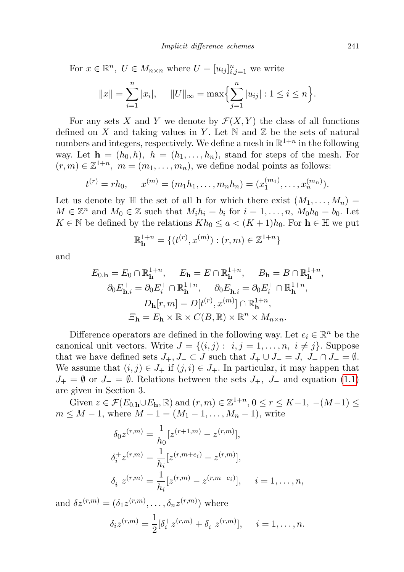For  $x \in \mathbb{R}^n$ ,  $U \in M_{n \times n}$  where  $U = [u_{ij}]_{i,j=1}^n$  we write

$$
||x|| = \sum_{i=1}^{n} |x_i|, \quad ||U||_{\infty} = \max\left\{\sum_{j=1}^{n} |u_{ij}| : 1 \le i \le n\right\}.
$$

For any sets X and Y we denote by  $\mathcal{F}(X, Y)$  the class of all functions defined on X and taking values in Y. Let  $\mathbb N$  and  $\mathbb Z$  be the sets of natural numbers and integers, respectively. We define a mesh in  $\mathbb{R}^{1+n}$  in the following way. Let  $h = (h_0, h), h = (h_1, \ldots, h_n)$ , stand for steps of the mesh. For  $(r, m) \in \mathbb{Z}^{1+n}$ ,  $m = (m_1, \ldots, m_n)$ , we define nodal points as follows:

$$
t^{(r)} = rh_0
$$
,  $x^{(m)} = (m_1h_1, \ldots, m_nh_n) = (x_1^{(m_1)}, \ldots, x_n^{(m_n)})$ .

Let us denote by  $\mathbb H$  the set of all **h** for which there exist  $(M_1, \ldots, M_n) =$  $M \in \mathbb{Z}^n$  and  $M_0 \in \mathbb{Z}$  such that  $M_i h_i = b_i$  for  $i = 1, \ldots, n$ ,  $M_0 h_0 = b_0$ . Let  $K \in \mathbb{N}$  be defined by the relations  $Kh_0 \leq a \leq (K+1)h_0$ . For  $h \in \mathbb{H}$  we put

$$
\mathbb{R}_{\mathbf{h}}^{1+n} = \{ (t^{(r)}, x^{(m)}) : (r, m) \in \mathbb{Z}^{1+n} \}
$$

and

$$
E_{0,\mathbf{h}} = E_0 \cap \mathbb{R}_{\mathbf{h}}^{1+n}, \quad E_{\mathbf{h}} = E \cap \mathbb{R}_{\mathbf{h}}^{1+n}, \quad B_{\mathbf{h}} = B \cap \mathbb{R}_{\mathbf{h}}^{1+n},
$$

$$
\partial_0 E_{\mathbf{h},i}^+ = \partial_0 E_i^+ \cap \mathbb{R}_{\mathbf{h}}^{1+n}, \quad \partial_0 E_{\mathbf{h},i}^- = \partial_0 E_i^+ \cap \mathbb{R}_{\mathbf{h}}^{1+n},
$$

$$
D_{\mathbf{h}}[r,m] = D[t^{(r)}, x^{(m)}] \cap \mathbb{R}_{\mathbf{h}}^{1+n},
$$

$$
\Xi_{\mathbf{h}} = E_{\mathbf{h}} \times \mathbb{R} \times C(B, \mathbb{R}) \times \mathbb{R}^n \times M_{n \times n}.
$$

Difference operators are defined in the following way. Let  $e_i \in \mathbb{R}^n$  be the canonical unit vectors. Write  $J = \{(i, j): i, j = 1, \ldots, n, i \neq j\}$ . Suppose that we have defined sets  $J_+, J_- \subset J$  such that  $J_+ \cup J_- = J$ ,  $J_+ \cap J_- = \emptyset$ . We assume that  $(i, j) \in J_+$  if  $(j, i) \in J_+$ . In particular, it may happen that  $J_+ = \emptyset$  or  $J_- = \emptyset$ . Relations between the sets  $J_+$ ,  $J_-$  and equation [\(1.1\)](#page-1-0) are given in Section 3.

Given  $z \in \mathcal{F}(E_{0,h} \cup E_h, \mathbb{R})$  and  $(r, m) \in \mathbb{Z}^{1+n}$ ,  $0 \le r \le K-1$ ,  $-(M-1) \le$  $m \leq M - 1$ , where  $M - 1 = (M_1 - 1, \ldots, M_n - 1)$ , write

$$
\delta_0 z^{(r,m)} = \frac{1}{h_0} [z^{(r+1,m)} - z^{(r,m)}],
$$
  
\n
$$
\delta_i^+ z^{(r,m)} = \frac{1}{h_i} [z^{(r,m+e_i)} - z^{(r,m)}],
$$
  
\n
$$
\delta_i^- z^{(r,m)} = \frac{1}{h_i} [z^{(r,m)} - z^{(r,m-e_i)}], \quad i = 1, ..., n,
$$

and  $\delta z^{(r,m)} = (\delta_1 z^{(r,m)}, \dots, \delta_n z^{(r,m)})$  where

$$
\delta_i z^{(r,m)} = \frac{1}{2} [\delta_i^+ z^{(r,m)} + \delta_i^- z^{(r,m)}], \quad i = 1, \dots, n.
$$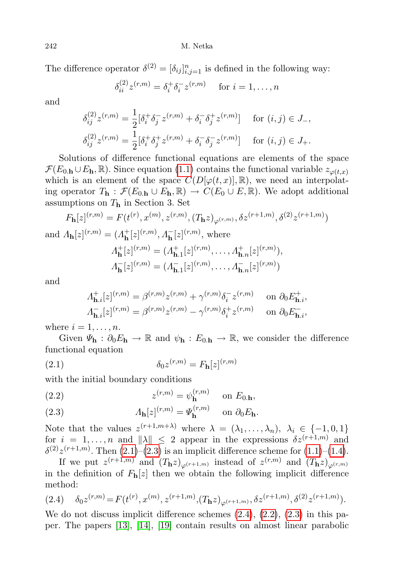The difference operator  $\delta^{(2)} = [\delta_{ij}]_{i,j=1}^n$  is defined in the following way:

$$
\delta_{ii}^{(2)} z^{(r,m)} = \delta_i^+ \delta_i^- z^{(r,m)} \quad \text{ for } i = 1, \dots, n
$$

and

$$
\delta_{ij}^{(2)} z^{(r,m)} = \frac{1}{2} [\delta_i^+ \delta_j^- z^{(r,m)} + \delta_i^- \delta_j^+ z^{(r,m)}] \quad \text{for } (i,j) \in J_-,
$$
  

$$
\delta_{ij}^{(2)} z^{(r,m)} = \frac{1}{2} [\delta_i^+ \delta_j^+ z^{(r,m)} + \delta_i^- \delta_j^- z^{(r,m)}] \quad \text{for } (i,j) \in J_+.
$$

Solutions of difference functional equations are elements of the space  $\mathcal{F}(E_{0,\mathbf{h}} \cup E_{\mathbf{h}}, \mathbb{R})$ . Since equation [\(1.1\)](#page-1-0) contains the functional variable  $z_{\varphi(t,x)}$ which is an element of the space  $C(D[\varphi(t,x)], \mathbb{R})$ , we need an interpolating operator  $T_{\mathbf{h}} : \mathcal{F}(E_{0,\mathbf{h}} \cup E_{\mathbf{h}}, \mathbb{R}) \to C(E_0 \cup E, \mathbb{R})$ . We adopt additional assumptions on  $T<sub>h</sub>$  in Section 3. Set

$$
F_{\mathbf{h}}[z]^{(r,m)} = F(t^{(r)}, x^{(m)}, z^{(r,m)}, (T_{\mathbf{h}}z)_{\varphi^{(r,m)}}, \delta z^{(r+1,m)}, \delta^{(2)}z^{(r+1,m)})
$$

and  $\Lambda_{\mathbf{h}}[z]^{(r,m)} = (\Lambda_{\mathbf{h}}^{+})$  $_{\mathbf{h}}^{+}[z]^{(r,m)}, \Lambda_{\mathbf{h}}^{-}[z]^{(r,m)}, \text{ where}$  $\Lambda_{\mathbf{h}}^{+}$  ${}_{\mathbf{h}}^{+}[z]^{(r,m)} = ( \varLambda_{\mathbf{h}}^{+}$  $\frac{1}{\mathbf{h}.1}[z]^{(r,m)}, \ldots, A_{\mathbf{h}.n}^+[z]^{(r,m)}),$  $\Lambda_{\mathbf{h}}^ \mathbf{h}^{-}[z]^{(r,m)} = (A_{\mathbf{h}}^{-}]$  $\frac{1}{\mathbf{h}.1}[z]^{(r,m)}, \ldots, \frac{1}{\mathbf{h}.n}[z]^{(r,m)})$ 

and

<span id="page-5-0"></span>
$$
A_{\mathbf{h},i}^{+}[z]^{(r,m)} = \beta^{(r,m)} z^{(r,m)} + \gamma^{(r,m)} \delta_i^{-} z^{(r,m)} \quad \text{on } \partial_0 E_{\mathbf{h},i}^{+},
$$

$$
A_{\mathbf{h},i}^{-}[z]^{(r,m)} = \beta^{(r,m)} z^{(r,m)} - \gamma^{(r,m)} \delta_i^{+} z^{(r,m)} \quad \text{on } \partial_0 E_{\mathbf{h},i}^{-},
$$

where  $i = 1, \ldots, n$ .

Given  $\Psi_{h}: \partial_0 E_h \to \mathbb{R}$  and  $\psi_h: E_{0,h} \to \mathbb{R}$ , we consider the difference functional equation

$$
\delta_0 z^{(r,m)} = F_{\mathbf{h}}[z]^{(r,m)}
$$

with the initial boundary conditions

<span id="page-5-3"></span>(2.2) 
$$
z^{(r,m)} = \psi_{\mathbf{h}}^{(r,m)} \quad \text{on } E_{0,\mathbf{h}},
$$

<span id="page-5-1"></span>(2.3) 
$$
\Lambda_{\mathbf{h}}[z]^{(r,m)} = \Psi_{\mathbf{h}}^{(r,m)} \quad \text{ on } \partial_0 E_{\mathbf{h}}.
$$

Note that the values  $z^{(r+1,m+\lambda)}$  where  $\lambda = (\lambda_1, \ldots, \lambda_n), \lambda_i \in \{-1, 0, 1\}$ for  $i = 1, ..., n$  and  $\|\lambda\| \leq 2$  appear in the expressions  $\delta z^{(r+1,m)}$  and  $\delta^{(2)} z^{(r+1,m)}$ . Then  $(2.1)$ – $(2.3)$  is an implicit difference scheme for  $(1.1)$ – $(1.4)$ .

If we put  $z^{(r+1,m)}$  and  $(T_{\mathbf{h}}z)_{\varphi^{(r+1,m)}}$  instead of  $z^{(r,m)}$  and  $(T_{\mathbf{h}}z)_{\varphi^{(r,m)}}$ in the definition of  $F_{\bf h}[z]$  then we obtain the following implicit difference method:

<span id="page-5-2"></span>
$$
(2.4) \quad \delta_0 z^{(r,m)} = F(t^{(r)}, x^{(m)}, z^{(r+1,m)}, (T_{\mathbf{h}} z)_{\varphi^{(r+1,m)}}, \delta z^{(r+1,m)}, \delta^{(2)} z^{(r+1,m)}).
$$

We do not discuss implicit difference schemes  $(2.4)$ ,  $(2.2)$ ,  $(2.3)$  in this paper. The papers [\[13\]](#page-21-8), [\[14\]](#page-21-9), [\[19\]](#page-21-10) contain results on almost linear parabolic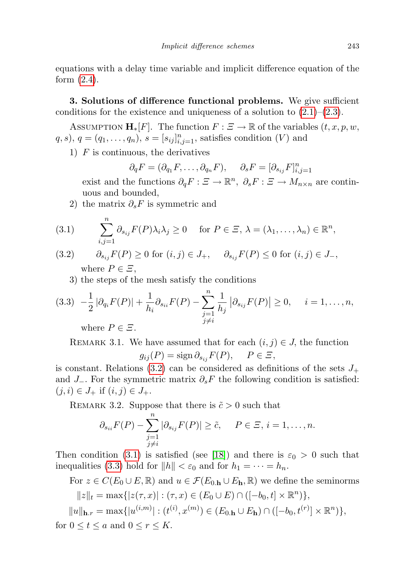equations with a delay time variable and implicit difference equation of the form [\(2.4\)](#page-5-2).

3. Solutions of difference functional problems. We give sufficient conditions for the existence and uniqueness of a solution to  $(2.1)$ – $(2.3)$ .

ASSUMPTION  $\mathbf{H}_*[F]$ . The function  $F : \Xi \to \mathbb{R}$  of the variables  $(t, x, p, w, \Xi)$  $(q, s), q = (q_1, \ldots, q_n), s = [s_{ij}]_{i,j=1}^n$ , satisfies condition (V) and

1)  $F$  is continuous, the derivatives

$$
\partial_q F = (\partial_{q_1} F, \dots, \partial_{q_n} F), \quad \partial_s F = [\partial_{s_{ij}} F]_{i,j=1}^n
$$

exist and the functions  $\partial_q F : \Xi \to \mathbb{R}^n$ ,  $\partial_s F : \Xi \to M_{n \times n}$  are continuous and bounded,

2) the matrix  $\partial_s F$  is symmetric and

<span id="page-6-1"></span>(3.1) 
$$
\sum_{i,j=1}^n \partial_{s_{ij}} F(P) \lambda_i \lambda_j \ge 0 \quad \text{for } P \in \Xi, \, \lambda = (\lambda_1, \dots, \lambda_n) \in \mathbb{R}^n,
$$

<span id="page-6-0"></span>(3.2) 
$$
\partial_{s_{ij}} F(P) \ge 0 \text{ for } (i,j) \in J_+, \quad \partial_{s_{ij}} F(P) \le 0 \text{ for } (i,j) \in J_-,
$$
  
where  $P \in \Xi$ ,

<span id="page-6-2"></span>3) the steps of the mesh satisfy the conditions

$$
(3.3) \quad -\frac{1}{2} \left| \partial_{q_i} F(P) \right| + \frac{1}{h_i} \partial_{s_{ii}} F(P) - \sum_{\substack{j=1 \ j \neq i}}^n \frac{1}{h_j} \left| \partial_{s_{ij}} F(P) \right| \ge 0, \quad i = 1, \dots, n,
$$

where  $P \in \mathbb{Z}$ .

REMARK 3.1. We have assumed that for each  $(i, j) \in J$ , the function  $g_{ij}(P) = \text{sign}\,\partial_{s_{ij}}F(P), \quad P \in \Xi,$ 

is constant. Relations [\(3.2\)](#page-6-0) can be considered as definitions of the sets  $J_+$ and  $J_$ . For the symmetric matrix  $\partial_s F$  the following condition is satisfied:  $(j, i) \in J_+$  if  $(i, j) \in J_+$ .

REMARK 3.2. Suppose that there is  $\tilde{c} > 0$  such that

$$
\partial_{s_{ii}} F(P) - \sum_{\substack{j=1 \ j \neq i}}^n |\partial_{s_{ij}} F(P)| \geq \tilde{c}, \quad P \in \Xi, i = 1, \dots, n.
$$

Then condition [\(3.1\)](#page-6-1) is satisfied (see [\[18\]](#page-21-1)) and there is  $\varepsilon_0 > 0$  such that inequalities [\(3.3\)](#page-6-2) hold for  $||h|| < \varepsilon_0$  and for  $h_1 = \cdots = h_n$ .

For  $z \in C(E_0 \cup E, \mathbb{R})$  and  $u \in \mathcal{F}(E_{0,h} \cup E_h, \mathbb{R})$  we define the seminorms  $||z||_t = \max\{|z(\tau, x)| : (\tau, x) \in (E_0 \cup E) \cap ([-b_0, t] \times \mathbb{R}^n)\},\$  $||u||_{\mathbf{h},r} = \max\{|u^{(i,m)}| : (t^{(i)}, x^{(m)}) \in (E_{0,\mathbf{h}} \cup E_{\mathbf{h}}) \cap ([-b_0, t^{(r)}] \times \mathbb{R}^n)\},\$ for  $0 \le t \le a$  and  $0 \le r \le K$ .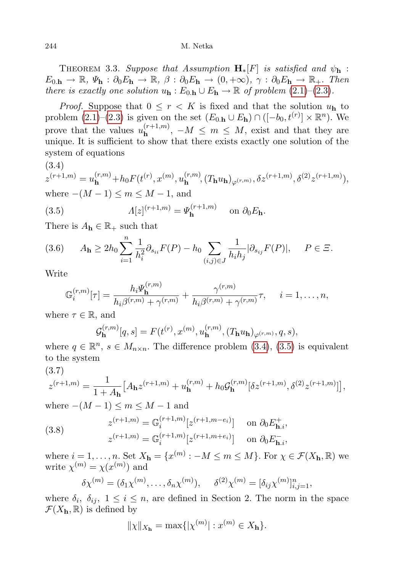THEOREM 3.3. Suppose that Assumption  $\mathbf{H}_*[F]$  is satisfied and  $\psi_{\mathbf{h}}$ :  $E_{0,\mathbf{h}} \to \mathbb{R}, \Psi_{\mathbf{h}} : \partial_0 E_{\mathbf{h}} \to \mathbb{R}, \ \beta : \partial_0 E_{\mathbf{h}} \to (0, +\infty), \ \gamma : \partial_0 E_{\mathbf{h}} \to \mathbb{R}_+$ . Then there is exactly one solution  $u_{h}: E_{0,h} \cup E_{h} \to \mathbb{R}$  of problem  $(2.1)$ – $(2.3)$ .

*Proof.* Suppose that  $0 \leq r \leq K$  is fixed and that the solution  $u_{h}$  to problem  $(2.1)–(2.3)$  $(2.1)–(2.3)$  $(2.1)–(2.3)$  is given on the set  $(E_{0.\text{h}} \cup E_{\text{h}}) \cap ([-b_0, t^{(r)}] \times \mathbb{R}^n)$ . We prove that the values  $u_{\mathbf{h}}^{(r+1,m)}$  $\mathbf{h}^{(r+1,m)}$ ,  $-M \leq m \leq M$ , exist and that they are unique. It is sufficient to show that there exists exactly one solution of the system of equations

$$
(3.4)
$$

<span id="page-7-0"></span>
$$
z^{(r+1,m)} = u_{\mathbf{h}}^{(r,m)} + h_0 F(t^{(r)}, x^{(m)}, u_{\mathbf{h}}^{(r,m)}, (T_{\mathbf{h}} u_{\mathbf{h}})_{\varphi^{(r,m)}}, \delta z^{(r+1,m)}, \delta^{(2)} z^{(r+1,m)}),
$$
  
where  $-(M-1) \le m \le M-1$ , and

<span id="page-7-1"></span>(3.5) 
$$
\Lambda[z]^{(r+1,m)} = \Psi_{\mathbf{h}}^{(r+1,m)} \quad \text{on } \partial_0 E_{\mathbf{h}}.
$$

There is  $A_{\mathbf{h}} \in \mathbb{R}_+$  such that

<span id="page-7-4"></span>
$$
(3.6) \t A_{\mathbf{h}} \ge 2h_0 \sum_{i=1}^n \frac{1}{h_i^2} \partial_{s_{ii}} F(P) - h_0 \sum_{(i,j)\in J} \frac{1}{h_i h_j} |\partial_{s_{ij}} F(P)|, \quad P \in \Xi.
$$

Write

$$
\mathbb{G}_i^{(r,m)}[\tau] = \frac{h_i \Psi_{\mathbf{h}}^{(r,m)}}{h_i \beta^{(r,m)} + \gamma^{(r,m)}} + \frac{\gamma^{(r,m)}}{h_i \beta^{(r,m)} + \gamma^{(r,m)}}\tau, \quad i = 1, \dots, n,
$$

where  $\tau \in \mathbb{R}$ , and

$$
\mathcal{G}_{\mathbf{h}}^{(r,m)}[q,s] = F(t^{(r)}, x^{(m)}, u_{\mathbf{h}}^{(r,m)}, (T_{\mathbf{h}}u_{\mathbf{h}})_{\varphi^{(r,m)}}, q, s),
$$

where  $q \in \mathbb{R}^n$ ,  $s \in M_{n \times n}$ . The difference problem [\(3.4\)](#page-7-0), [\(3.5\)](#page-7-1) is equivalent to the system

(3.7)

<span id="page-7-2"></span>
$$
z^{(r+1,m)} = \frac{1}{1+A_{\mathbf{h}}} \left[ A_{\mathbf{h}} z^{(r+1,m)} + u_{\mathbf{h}}^{(r,m)} + h_0 \mathcal{G}_{\mathbf{h}}^{(r,m)} [\delta z^{(r+1,m)}, \delta^{(2)} z^{(r+1,m)}] \right],
$$

where  $-(M-1) \le m \le M-1$  and

<span id="page-7-3"></span>(3.8) 
$$
z^{(r+1,m)} = \mathbb{G}_i^{(r+1,m)} [z^{(r+1,m-e_i)}] \text{ on } \partial_0 E_{\mathbf{h},i}^+,
$$

$$
z^{(r+1,m)} = \mathbb{G}_i^{(r+1,m)} [z^{(r+1,m+e_i)}] \text{ on } \partial_0 E_{\mathbf{h},i}^-,
$$

where  $i = 1, ..., n$ . Set  $X_{\mathbf{h}} = \{x^{(m)} : -M \leq m \leq M\}$ . For  $\chi \in \mathcal{F}(X_{\mathbf{h}}, \mathbb{R})$  we write  $\chi^{(m)} = \chi(x^{(m)})$  and

$$
\delta \chi^{(m)} = (\delta_1 \chi^{(m)}, \dots, \delta_n \chi^{(m)}), \quad \delta^{(2)} \chi^{(m)} = [\delta_{ij} \chi^{(m)}]_{i,j=1}^n,
$$

where  $\delta_i$ ,  $\delta_{ij}$ ,  $1 \leq i \leq n$ , are defined in Section 2. The norm in the space  $\mathcal{F}(X_{h},\mathbb{R})$  is defined by

$$
\|\chi\|_{X_{\mathbf{h}}} = \max\{|\chi^{(m)}| : x^{(m)} \in X_{\mathbf{h}}\}.
$$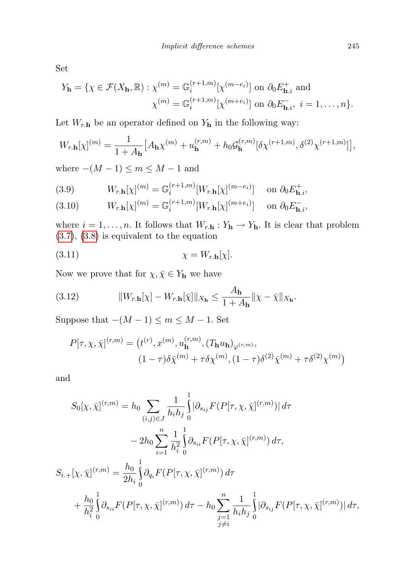Set

$$
Y_{\mathbf{h}} = \{ \chi \in \mathcal{F}(X_{\mathbf{h}}, \mathbb{R}) : \chi^{(m)} = \mathbb{G}_i^{(r+1,m)} [\chi^{(m-e_i)}] \text{ on } \partial_0 E_{\mathbf{h},i}^+ \text{ and}
$$

$$
\chi^{(m)} = \mathbb{G}_i^{(r+1,m)} [\chi^{(m+e_i)}] \text{ on } \partial_0 E_{\mathbf{h},i}^-, \ i = 1, \dots, n \}.
$$

Let  $W_{r,\mathbf{h}}$  be an operator defined on  $Y_{\mathbf{h}}$  in the following way:

$$
W_{r,\mathbf{h}}[\chi]^{(m)} = \frac{1}{1 + A_{\mathbf{h}}} \left[ A_{\mathbf{h}} \chi^{(m)} + u_{\mathbf{h}}^{(r,m)} + h_0 \mathcal{G}_{\mathbf{h}}^{(r,m)} [\delta \chi^{(r+1,m)}, \delta^{(2)} \chi^{(r+1,m)}] \right],
$$

where  $-(M-1) \le m \le M-1$  and

<span id="page-8-0"></span>(3.9) 
$$
W_{r,\mathbf{h}}[\chi]^{(m)} = \mathbb{G}_i^{(r+1,m)}[W_{r,\mathbf{h}}[\chi]^{(m-e_i)}] \text{ on } \partial_0 E_{\mathbf{h},i}^+
$$

<span id="page-8-1"></span>(3.10) 
$$
W_{r,\mathbf{h}}[\chi]^{(m)} = \mathbb{G}_i^{(r+1,m)}[W_{r,\mathbf{h}}[\chi]^{(m+e_i)}] \text{ on } \partial_0 E_{\mathbf{h},i}^-,
$$

where  $i = 1, ..., n$ . It follows that  $W_{r,h} : Y_h \to Y_h$ . It is clear that problem [\(3.7\)](#page-7-2), [\(3.8\)](#page-7-3) is equivalent to the equation

<span id="page-8-3"></span>
$$
\chi = W_{r,\mathbf{h}}[\chi].
$$

Now we prove that for  $\chi, \bar{\chi} \in Y_{\mathbf{h}}$  we have

<span id="page-8-2"></span>(3.12) 
$$
||W_{r,\mathbf{h}}[\chi] - W_{r,\mathbf{h}}[\bar{\chi}]||_{X_{\mathbf{h}}} \leq \frac{A_{\mathbf{h}}}{1 + A_{\mathbf{h}}} ||\chi - \bar{\chi}||_{X_{\mathbf{h}}}.
$$

Suppose that  $-(M-1) \le m \le M-1$ . Set

$$
P[\tau, \chi, \bar{\chi}]^{(r,m)} = (t^{(r)}, x^{(m)}, u_{\mathbf{h}}^{(r,m)}, (T_{\mathbf{h}} u_{\mathbf{h}})_{\varphi^{(r,m)}},
$$

$$
(1 - \tau)\delta\bar{\chi}^{(m)} + \tau\delta\chi^{(m)}, (1 - \tau)\delta^{(2)}\bar{\chi}^{(m)} + \tau\delta^{(2)}\chi^{(m)})
$$

and

$$
S_0[\chi, \bar{\chi}]^{(r,m)} = h_0 \sum_{(i,j)\in J} \frac{1}{h_i h_j} \int_0^1 |\partial_{s_{ij}} F(P[\tau, \chi, \bar{\chi}]^{(r,m)})| d\tau
$$
  

$$
- 2h_0 \sum_{i=1}^n \frac{1}{h_i^2} \int_0^1 \partial_{s_{ii}} F(P[\tau, \chi, \bar{\chi}]^{(r,m)}) d\tau,
$$
  

$$
S_{i.+\chi, \bar{\chi}]^{(r,m)} = \frac{h_0}{2h_i} \int_0^1 \partial_{q_i} F(P[\tau, \chi, \bar{\chi}]^{(r,m)}) d\tau
$$
  

$$
+ \frac{h_0}{h_i^2} \int_0^1 \partial_{s_{ii}} F(P[\tau, \chi, \bar{\chi}]^{(r,m)}) d\tau - h_0 \sum_{\substack{j=1 \ j \neq i}}^n \frac{1}{h_i h_j} \int_0^1 |\partial_{s_{ij}} F(P[\tau, \chi, \bar{\chi}]^{(r,m)})| d\tau,
$$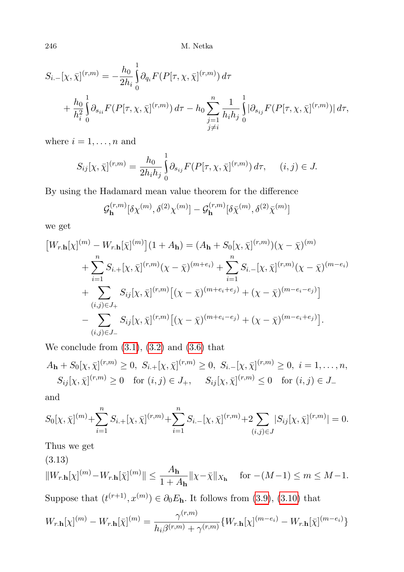$$
S_{i.} - [\chi, \bar{\chi}]^{(r,m)} = -\frac{h_0}{2h_i} \int_0^1 \partial_{q_i} F(P[\tau, \chi, \bar{\chi}]^{(r,m)}) d\tau + \frac{h_0}{h_i^2} \int_0^1 \partial_{s_{ii}} F(P[\tau, \chi, \bar{\chi}]^{(r,m)}) d\tau - h_0 \sum_{\substack{j=1 \ j \neq i}}^n \frac{1}{h_i h_j} \int_0^1 |\partial_{s_{ij}} F(P[\tau, \chi, \bar{\chi}]^{(r,m)})| d\tau,
$$

where  $i = 1, \ldots, n$  and

$$
S_{ij}[\chi, \bar{\chi}]^{(r,m)} = \frac{h_0}{2h_i h_j} \int_0^1 \partial_{s_{ij}} F(P[\tau, \chi, \bar{\chi}]^{(r,m)}) d\tau, \quad (i, j) \in J.
$$

By using the Hadamard mean value theorem for the difference

$$
\mathcal{G}_{\mathbf{h}}^{(r,m)}[\delta\chi^{(m)},\delta^{(2)}\chi^{(m)}] - \mathcal{G}_{\mathbf{h}}^{(r,m)}[\delta\bar{\chi}^{(m)},\delta^{(2)}\bar{\chi}^{(m)}]
$$

we get

$$
\begin{split} \left[W_{r,\mathbf{h}}[\chi]^{(m)} - W_{r,\mathbf{h}}[\bar{\chi}]^{(m)}\right] (1 + A_{\mathbf{h}}) &= (A_{\mathbf{h}} + S_0[\chi, \bar{\chi}]^{(r,m)})(\chi - \bar{\chi})^{(m)} \\ &+ \sum_{i=1}^n S_{i,+}[\chi, \bar{\chi}]^{(r,m)}(\chi - \bar{\chi})^{(m+e_i)} + \sum_{i=1}^n S_{i,-}[\chi, \bar{\chi}]^{(r,m)}(\chi - \bar{\chi})^{(m-e_i)} \\ &+ \sum_{(i,j)\in J_+} S_{ij}[\chi, \bar{\chi}]^{(r,m)}\left[ (\chi - \bar{\chi})^{(m+e_i+e_j)} + (\chi - \bar{\chi})^{(m-e_i-e_j)} \right] \\ &- \sum_{(i,j)\in J_-} S_{ij}[\chi, \bar{\chi}]^{(r,m)}\left[ (\chi - \bar{\chi})^{(m+e_i-e_j)} + (\chi - \bar{\chi})^{(m-e_i+e_j)} \right]. \end{split}
$$

We conclude from  $(3.1)$ ,  $(3.2)$  and  $(3.6)$  that

$$
A_{\mathbf{h}} + S_0[\chi, \bar{\chi}]^{(r,m)} \ge 0, \ S_{i, +}[\chi, \bar{\chi}]^{(r,m)} \ge 0, \ S_{i, -}[\chi, \bar{\chi}]^{(r,m)} \ge 0, \ i = 1, \dots, n,
$$
  

$$
S_{ij}[\chi, \bar{\chi}]^{(r,m)} \ge 0 \quad \text{for } (i, j) \in J_+, \quad S_{ij}[\chi, \bar{\chi}]^{(r,m)} \le 0 \quad \text{for } (i, j) \in J_-
$$

and

$$
S_0[\chi, \bar{\chi}]^{(m)} + \sum_{i=1}^n S_{i,+}[\chi, \bar{\chi}]^{(r,m)} + \sum_{i=1}^n S_{i,-}[\chi, \bar{\chi}]^{(r,m)} + 2 \sum_{(i,j) \in J} |S_{ij}[\chi, \bar{\chi}]^{(r,m)}| = 0.
$$

Thus we get

(3.13)

<span id="page-9-0"></span>
$$
||W_{r,\mathbf{h}}[\chi]^{(m)} - W_{r,\mathbf{h}}[\bar{\chi}]^{(m)}|| \le \frac{A_{\mathbf{h}}}{1 + A_{\mathbf{h}}} ||\chi - \bar{\chi}||_{X_{\mathbf{h}}} \quad \text{ for } -(M-1) \le m \le M-1.
$$

Suppose that  $(t^{(r+1)}, x^{(m)}) \in \partial_0 E_{\mathbf{h}}$ . It follows from [\(3.9\)](#page-8-0), [\(3.10\)](#page-8-1) that

$$
W_{r,\mathbf{h}}[\chi]^{(m)} - W_{r,\mathbf{h}}[\bar{\chi}]^{(m)} = \frac{\gamma^{(r,m)}}{h_i \beta^{(r,m)} + \gamma^{(r,m)}} \{W_{r,\mathbf{h}}[\chi]^{(m-e_i)} - W_{r,\mathbf{h}}[\bar{\chi}]^{(m-e_i)}\}
$$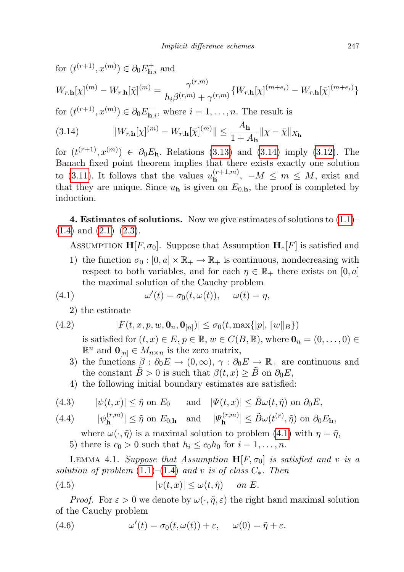for  $(t^{(r+1)}, x^{(m)}) \in \partial_0 E_{\mathbf{h},i}^+$  and

$$
W_{r,\mathbf{h}}[\chi]^{(m)} - W_{r,\mathbf{h}}[\bar{\chi}]^{(m)} = \frac{\gamma^{(r,m)}}{h_i \beta^{(r,m)} + \gamma^{(r,m)}} \{W_{r,\mathbf{h}}[\chi]^{(m+e_i)} - W_{r,\mathbf{h}}[\bar{\chi}]^{(m+e_i)}\}
$$

for  $(t^{(r+1)}, x^{(m)}) \in \partial_0 E_{\mathbf{h},i}^-$ , where  $i = 1, \ldots, n$ . The result is

<span id="page-10-0"></span>(3.14) 
$$
||W_{r,\mathbf{h}}[\chi]^{(m)} - W_{r,\mathbf{h}}[\bar{\chi}]^{(m)}|| \leq \frac{A_{\mathbf{h}}}{1 + A_{\mathbf{h}}} ||\chi - \bar{\chi}||_{X_{\mathbf{h}}}
$$

for  $(t^{(r+1)}, x^{(m)}) \in \partial_0 E_{\mathbf{h}}$ . Relations [\(3.13\)](#page-9-0) and [\(3.14\)](#page-10-0) imply [\(3.12\)](#page-8-2). The Banach fixed point theorem implies that there exists exactly one solution to [\(3.11\)](#page-8-3). It follows that the values  $u_{\mathbf{h}}^{(r+1,m)}$  $h^{(r+1,m)}$ ,  $-M \leq m \leq M$ , exist and that they are unique. Since  $u<sub>h</sub>$  is given on  $E<sub>0,h</sub>$ , the proof is completed by induction.

4. Estimates of solutions. Now we give estimates of solutions to  $(1.1)$ –  $(1.4)$  and  $(2.1)$ – $(2.3)$ .

ASSUMPTION  $\mathbf{H}[F, \sigma_0]$ . Suppose that Assumption  $\mathbf{H}_\ast[F]$  is satisfied and

1) the function  $\sigma_0 : [0, a] \times \mathbb{R}_+ \to \mathbb{R}_+$  is continuous, nondecreasing with respect to both variables, and for each  $\eta \in \mathbb{R}_+$  there exists on [0, a] the maximal solution of the Cauchy problem

(4.1) 
$$
\omega'(t) = \sigma_0(t, \omega(t)), \quad \omega(t) = \eta,
$$

<span id="page-10-1"></span>2) the estimate

(4.2) 
$$
|F(t, x, p, w, \mathbf{0}_n, \mathbf{0}_{[n]})| \leq \sigma_0(t, \max\{|p|, \|w\|_B\})
$$

is satisfied for  $(t, x) \in E$ ,  $p \in \mathbb{R}$ ,  $w \in C(B, \mathbb{R})$ , where  $\mathbf{0}_n = (0, \ldots, 0) \in$  $\mathbb{R}^n$  and  $\mathbf{0}_{[n]} \in M_{n \times n}$  is the zero matrix,

- 3) the functions  $\beta : \partial_0 E \to (0, \infty), \gamma : \partial_0 E \to \mathbb{R}_+$  are continuous and the constant  $B > 0$  is such that  $\beta(t, x) \geq B$  on  $\partial_0 E$ ,
- 4) the following initial boundary estimates are satisfied:

(4.3) 
$$
|\psi(t,x)| \leq \tilde{\eta}
$$
 on  $E_0$  and  $|\Psi(t,x)| \leq \tilde{B}\omega(t,\tilde{\eta})$  on  $\partial_0 E$ ,

<span id="page-10-4"></span> $|\psi_{\mathbf{h}}^{(r,m)}\rangle$  $|\Psi_{\mathbf{h}}^{(r,m)}| \leq \tilde{\eta}$  on  $E_{0,\mathbf{h}}$  and  $|\Psi_{\mathbf{h}}^{(r,m)}|$ (4.4)  $|\psi_{\mathbf{h}}^{(r,m)}| \leq \tilde{\eta}$  on  $E_{0,\mathbf{h}}$  and  $|\Psi_{\mathbf{h}}^{(r,m)}| \leq \tilde{B}\omega(t^{(r)}, \tilde{\eta})$  on  $\partial_0 E_{\mathbf{h}},$ 

where  $\omega(\cdot, \tilde{\eta})$  is a maximal solution to problem [\(4.1\)](#page-10-1) with  $\eta = \tilde{\eta}$ ,

<span id="page-10-2"></span>5) there is  $c_0 > 0$  such that  $h_i \leq c_0 h_0$  for  $i = 1, \ldots, n$ .

LEMMA 4.1. Suppose that Assumption  $H[F, \sigma_0]$  is satisfied and v is a solution of problem  $(1.1)–(1.4)$  $(1.1)–(1.4)$  $(1.1)–(1.4)$  and v is of class  $C_*$ . Then

(4.5) 
$$
|v(t,x)| \le \omega(t,\tilde{\eta}) \quad on \ E.
$$

*Proof.* For  $\varepsilon > 0$  we denote by  $\omega(\cdot, \tilde{\eta}, \varepsilon)$  the right hand maximal solution of the Cauchy problem

<span id="page-10-3"></span>(4.6) 
$$
\omega'(t) = \sigma_0(t, \omega(t)) + \varepsilon, \quad \omega(0) = \tilde{\eta} + \varepsilon.
$$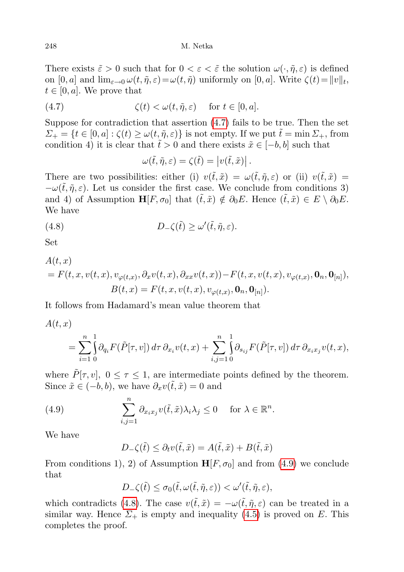There exists  $\tilde{\varepsilon} > 0$  such that for  $0 < \varepsilon < \tilde{\varepsilon}$  the solution  $\omega(\cdot, \tilde{\eta}, \varepsilon)$  is defined on  $[0, a]$  and  $\lim_{\varepsilon \to 0} \omega(t, \tilde{\eta}, \varepsilon) = \omega(t, \tilde{\eta})$  uniformly on  $[0, a]$ . Write  $\zeta(t) = ||v||_t$ ,  $t \in [0, a]$ . We prove that

(4.7) 
$$
\zeta(t) < \omega(t, \tilde{\eta}, \varepsilon) \quad \text{for } t \in [0, a].
$$

Suppose for contradiction that assertion [\(4.7\)](#page-11-0) fails to be true. Then the set  $\Sigma_{+} = \{t \in [0, a] : \zeta(t) \geq \omega(t, \tilde{\eta}, \varepsilon)\}\$ is not empty. If we put  $\tilde{t} = \min \Sigma_{+}$ , from condition 4) it is clear that  $\tilde{t} > 0$  and there exists  $\tilde{x} \in [-b, b]$  such that

<span id="page-11-2"></span><span id="page-11-0"></span>
$$
\omega(\tilde{t},\tilde{\eta},\varepsilon)=\zeta(\tilde{t})=\left|v(\tilde{t},\tilde{x})\right|.
$$

There are two possibilities: either (i)  $v(\tilde{t},\tilde{x}) = \omega(\tilde{t},\tilde{\eta},\varepsilon)$  or (ii)  $v(\tilde{t},\tilde{x}) =$  $-\omega(\tilde{t},\tilde{\eta},\varepsilon)$ . Let us consider the first case. We conclude from conditions 3) and 4) of Assumption  $\mathbf{H}[F, \sigma_0]$  that  $(\tilde{t}, \tilde{x}) \notin \partial_0 E$ . Hence  $(\tilde{t}, \tilde{x}) \in E \setminus \partial_0 E$ . We have

(4.8) 
$$
D_{-}\zeta(\tilde{t}) \geq \omega'(\tilde{t}, \tilde{\eta}, \varepsilon).
$$

Set

$$
A(t, x)
$$
  
=  $F(t, x, v(t, x), v_{\varphi(t, x)}, \partial_x v(t, x), \partial_{xx} v(t, x)) - F(t, x, v(t, x), v_{\varphi(t, x)}, \mathbf{0}_n, \mathbf{0}_{[n]}),$   

$$
B(t, x) = F(t, x, v(t, x), v_{\varphi(t, x)}, \mathbf{0}_n, \mathbf{0}_{[n]}).
$$

It follows from Hadamard's mean value theorem that

$$
A(t, x) = \sum_{i=1}^{n} \int_{0}^{1} \partial_{q_i} F(\tilde{P}[\tau, v]) d\tau \, \partial_{x_i} v(t, x) + \sum_{i, j=1}^{n} \int_{0}^{1} \partial_{s_{ij}} F(\tilde{P}[\tau, v]) d\tau \, \partial_{x_i x_j} v(t, x),
$$

where  $\tilde{P}[\tau, v]$ ,  $0 \leq \tau \leq 1$ , are intermediate points defined by the theorem. Since  $\tilde{x} \in (-b, b)$ , we have  $\partial_x v(\tilde{t}, \tilde{x}) = 0$  and

(4.9) 
$$
\sum_{i,j=1}^n \partial_{x_i x_j} v(\tilde{t}, \tilde{x}) \lambda_i \lambda_j \leq 0 \quad \text{for } \lambda \in \mathbb{R}^n.
$$

We have

<span id="page-11-1"></span>
$$
D_{-}\zeta(\tilde{t}) \leq \partial_t v(\tilde{t}, \tilde{x}) = A(\tilde{t}, \tilde{x}) + B(\tilde{t}, \tilde{x})
$$

From conditions 1), 2) of Assumption  $\mathbf{H}[F, \sigma_0]$  and from [\(4.9\)](#page-11-1) we conclude that

$$
D_-\zeta(\tilde{t}) \le \sigma_0(\tilde{t}, \omega(\tilde{t}, \tilde{\eta}, \varepsilon)) < \omega'(\tilde{t}, \tilde{\eta}, \varepsilon),
$$

which contradicts [\(4.8\)](#page-11-2). The case  $v(\tilde{t},\tilde{x}) = -\omega(\tilde{t},\tilde{\eta},\varepsilon)$  can be treated in a similar way. Hence  $\Sigma_{+}$  is empty and inequality [\(4.5\)](#page-10-2) is proved on E. This completes the proof.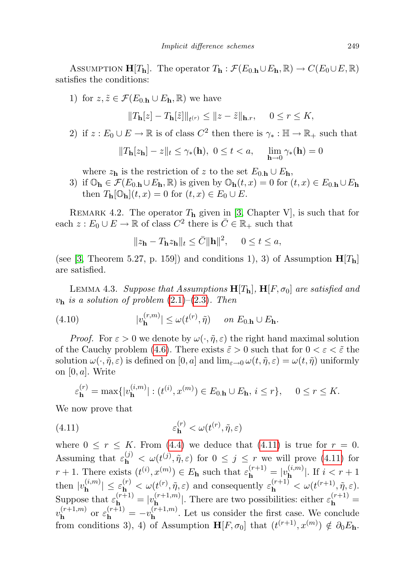ASSUMPTION  $\mathbf{H}[T_{\mathbf{h}}]$ . The operator  $T_{\mathbf{h}} : \mathcal{F}(E_{0,\mathbf{h}} \cup E_{\mathbf{h}}, \mathbb{R}) \to C(E_0 \cup E, \mathbb{R})$ satisfies the conditions:

1) for  $z, \tilde{z} \in \mathcal{F}(E_{0,\mathbf{h}} \cup E_{\mathbf{h}}, \mathbb{R})$  we have

 $||T_{\mathbf{h}}[z] - T_{\mathbf{h}}[\tilde{z}]||_{t^{(r)}} \le ||z - \tilde{z}||_{\mathbf{h}.r}, \quad 0 \le r \le K,$ 

2) if  $z: E_0 \cup E \to \mathbb{R}$  is of class  $C^2$  then there is  $\gamma_* : \mathbb{H} \to \mathbb{R}_+$  such that

$$
||T_{\mathbf{h}}[z_{\mathbf{h}}] - z||_{t} \le \gamma_{*}(\mathbf{h}), \ 0 \le t < a, \quad \lim_{\mathbf{h} \to 0} \gamma_{*}(\mathbf{h}) = 0
$$

where  $z_h$  is the restriction of z to the set  $E_{0,h} \cup E_h$ ,

3) if  $\mathbb{O}_{h} \in \mathcal{F}(E_{0,h} \cup E_{h}, \mathbb{R})$  is given by  $\mathbb{O}_{h}(t,x) = 0$  for  $(t,x) \in E_{0,h} \cup E_{h}$ then  $T_{\mathbf{h}}[\mathbb{O}_{\mathbf{h}}](t,x) = 0$  for  $(t,x) \in E_0 \cup E$ .

REMARK 4.2. The operator  $T_h$  given in [\[3,](#page-21-18) Chapter V], is such that for each  $z: E_0 \cup E \to \mathbb{R}$  of class  $C^2$  there is  $\overline{C} \in \mathbb{R}_+$  such that

<span id="page-12-1"></span>
$$
||z_{\mathbf{h}} - T_{\mathbf{h}} z_{\mathbf{h}}||_{t} \leq \bar{C} ||\mathbf{h}||^{2}, \quad 0 \leq t \leq a,
$$

(see [\[3,](#page-21-18) Theorem 5.27, p. 159]) and conditions 1), 3) of Assumption  $H[T_h]$ are satisfied.

LEMMA 4.3. Suppose that Assumptions  $H[T_h]$ ,  $H[F, \sigma_0]$  are satisfied and  $v_{\rm h}$  is a solution of problem  $(2.1)$ – $(2.3)$ . Then

(4.10) 
$$
|v_{\mathbf{h}}^{(r,m)}| \le \omega(t^{(r)}, \tilde{\eta}) \quad on \ E_{0,\mathbf{h}} \cup E_{\mathbf{h}}.
$$

*Proof.* For  $\varepsilon > 0$  we denote by  $\omega(\cdot, \tilde{\eta}, \varepsilon)$  the right hand maximal solution of the Cauchy problem [\(4.6\)](#page-10-3). There exists  $\tilde{\varepsilon} > 0$  such that for  $0 < \varepsilon < \tilde{\varepsilon}$  the solution  $\omega(\cdot,\tilde{\eta},\varepsilon)$  is defined on  $[0,a]$  and  $\lim_{\varepsilon\to 0} \omega(t,\tilde{\eta},\varepsilon) = \omega(t,\tilde{\eta})$  uniformly on  $[0, a]$ . Write

<span id="page-12-0"></span>
$$
\varepsilon_{\mathbf{h}}^{(r)} = \max\{|v_{\mathbf{h}}^{(i,m)}| : (t^{(i)}, x^{(m)}) \in E_{0,\mathbf{h}} \cup E_{\mathbf{h}}, i \le r\}, \quad 0 \le r \le K.
$$

We now prove that

(4.11) 
$$
\varepsilon_{\mathbf{h}}^{(r)} < \omega(t^{(r)}, \tilde{\eta}, \varepsilon)
$$

where  $0 \leq r \leq K$ . From [\(4.4\)](#page-10-4) we deduce that [\(4.11\)](#page-12-0) is true for  $r = 0$ . Assuming that  $\varepsilon_{\bf h}^{(j)} < \omega(t^{(j)}, \tilde{\eta}, \varepsilon)$  for  $0 \leq j \leq r$  we will prove [\(4.11\)](#page-12-0) for  $r+1$ . There exists  $(t^{(i)}, x^{(m)}) \in E_{\mathbf{h}}$  such that  $\varepsilon_{\mathbf{h}}^{(r+1)} = |v_{\mathbf{h}}^{(i,m)}|$  $\int_{\mathbf{h}}^{(i,m)}$ . If  $i < r + 1$ then  $|v_{\mathbf{h}}^{(i,m)}|$  $|\hat{\mathbf{h}}_{\mathbf{h}}^{(i,m)}| \leq \varepsilon_{\mathbf{h}}^{(r)} < \omega(t^{(r)}, \tilde{\eta}, \varepsilon)$  and consequently  $\varepsilon_{\mathbf{h}}^{(r+1)} < \omega(t^{(r+1)}, \tilde{\eta}, \varepsilon)$ . Suppose that  $\varepsilon_{\mathbf{h}}^{(r+1)} = |v_{\mathbf{h}}^{(r+1,m)}|$  $\mathbf{h}^{(r+1,m)}$ . There are two possibilities: either  $\varepsilon_{\mathbf{h}}^{(r+1)}$  =  $v_{\mathbf{h}}^{(r+1,m)}$  ${}_{h}^{(r+1,m)}$  or  $\varepsilon_{h}^{(r+1)} = -v_{h}^{(r+1,m)}$  $\mathbf{h}^{(r+1,m)}$ . Let us consider the first case. We conclude from conditions 3), 4) of Assumption  $\mathbf{H}[F,\sigma_0]$  that  $(t^{(r+1)},x^{(m)}) \notin \partial_0E_{\mathbf{h}}$ .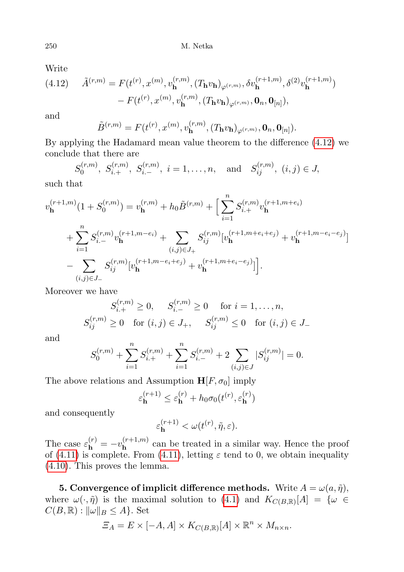Write

<span id="page-13-0"></span>(4.12) 
$$
\tilde{A}^{(r,m)} = F(t^{(r)}, x^{(m)}, v_{\mathbf{h}}^{(r,m)}, (T_{\mathbf{h}}v_{\mathbf{h}})_{\varphi^{(r,m)}}, \delta v_{\mathbf{h}}^{(r+1,m)}, \delta^{(2)}v_{\mathbf{h}}^{(r+1,m)}) - F(t^{(r)}, x^{(m)}, v_{\mathbf{h}}^{(r,m)}, (T_{\mathbf{h}}v_{\mathbf{h}})_{\varphi^{(r,m)}}, \mathbf{0}_n, \mathbf{0}_{[n]}),
$$

and

$$
\tilde{B}^{(r,m)} = F(t^{(r)}, x^{(m)}, v_{\mathbf{h}}^{(r,m)}, (T_{\mathbf{h}}v_{\mathbf{h}})_{\varphi^{(r,m)}}, \mathbf{0}_n, \mathbf{0}_{[n]}).
$$

By applying the Hadamard mean value theorem to the difference [\(4.12\)](#page-13-0) we conclude that there are

$$
S_0^{(r,m)}
$$
,  $S_{i,+}^{(r,m)}$ ,  $S_{i,-}^{(r,m)}$ ,  $i = 1, ..., n$ , and  $S_{ij}^{(r,m)}$ ,  $(i, j) \in J$ ,

such that

$$
v_{\mathbf{h}}^{(r+1,m)}(1+S_0^{(r,m)}) = v_{\mathbf{h}}^{(r,m)} + h_0 \tilde{B}^{(r,m)} + \Big[ \sum_{i=1}^n S_{i,+}^{(r,m)} v_{\mathbf{h}}^{(r+1,m+e_i)} + \sum_{i=1}^n S_{i,-}^{(r,m)} v_{\mathbf{h}}^{(r+1,m-e_i)} + \sum_{(i,j)\in J_+} S_{ij}^{(r,m)} [v_{\mathbf{h}}^{(r+1,m+e_i+e_j)} + v_{\mathbf{h}}^{(r+1,m-e_i-e_j)}] - \sum_{(i,j)\in J_-} S_{ij}^{(r,m)} [v_{\mathbf{h}}^{(r+1,m-e_i+e_j)} + v_{\mathbf{h}}^{(r+1,m+e_i-e_j)}] \Big].
$$

Moreover we have

$$
S_{i}^{(r,m)} \ge 0, \quad S_{i}^{(r,m)} \ge 0 \quad \text{for } i = 1, ..., n,
$$
  

$$
S_{ij}^{(r,m)} \ge 0 \quad \text{for } (i,j) \in J_+, \quad S_{ij}^{(r,m)} \le 0 \quad \text{for } (i,j) \in J_-
$$

and

$$
S_0^{(r,m)} + \sum_{i=1}^n S_{i,+}^{(r,m)} + \sum_{i=1}^n S_{i,-}^{(r,m)} + 2 \sum_{(i,j) \in J} |S_{ij}^{(r,m)}| = 0.
$$

The above relations and Assumption  $\mathbf{H}[F, \sigma_0]$  imply

$$
\varepsilon_{\mathbf{h}}^{(r+1)} \le \varepsilon_{\mathbf{h}}^{(r)} + h_0 \sigma_0(t^{(r)}, \varepsilon_{\mathbf{h}}^{(r)})
$$

and consequently

$$
\varepsilon_{\bf h}^{(r+1)} < \omega(t^{(r)}, \tilde{\eta}, \varepsilon).
$$

The case  $\varepsilon_{\mathbf{h}}^{(r)} = -v_{\mathbf{h}}^{(r+1,m)}$  $\mathbf{h}^{(r+1,m)}$  can be treated in a similar way. Hence the proof of [\(4.11\)](#page-12-0) is complete. From (4.11), letting  $\varepsilon$  tend to 0, we obtain inequality [\(4.10\)](#page-12-1). This proves the lemma.

**5.** Convergence of implicit difference methods. Write  $A = \omega(a, \tilde{\eta})$ , where  $\omega(\cdot, \tilde{\eta})$  is the maximal solution to [\(4.1\)](#page-10-1) and  $K_{C(B,\mathbb{R})}[A] = \{ \omega \in$  $C(B, \mathbb{R}): ||\omega||_B \leq A$ . Set

$$
\Xi_A = E \times [-A, A] \times K_{C(B, \mathbb{R})}[A] \times \mathbb{R}^n \times M_{n \times n}.
$$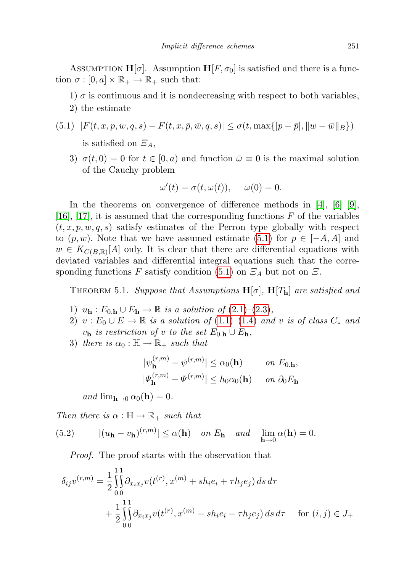ASSUMPTION  $H[\sigma]$ . Assumption  $H[F, \sigma_0]$  is satisfied and there is a function  $\sigma : [0, a] \times \mathbb{R}_+ \to \mathbb{R}_+$  such that:

- 1)  $\sigma$  is continuous and it is nondecreasing with respect to both variables,
- <span id="page-14-0"></span>2) the estimate
- $(5.1)$   $|F(t, x, p, w, q, s) F(t, x, \bar{p}, \bar{w}, q, s)| \leq \sigma(t, \max\{|p \bar{p}|, \|w \bar{w}\|_{B}\})$ is satisfied on  $\mathcal{Z}_A$ ,
	- 3)  $\sigma(t,0) = 0$  for  $t \in [0,a)$  and function  $\bar{\omega} \equiv 0$  is the maximal solution of the Cauchy problem

$$
\omega'(t) = \sigma(t, \omega(t)), \quad \omega(0) = 0.
$$

In the theorems on convergence of difference methods in  $[4]$ ,  $[6]-[9]$  $[6]-[9]$  $[6]-[9]$ , [\[16\]](#page-21-4), [\[17\]](#page-21-5), it is assumed that the corresponding functions  $F$  of the variables  $(t, x, p, w, q, s)$  satisfy estimates of the Perron type globally with respect to  $(p, w)$ . Note that we have assumed estimate [\(5.1\)](#page-14-0) for  $p \in [-A, A]$  and  $w \in K_{C(B,\mathbb{R})}[A]$  only. It is clear that there are differential equations with deviated variables and differential integral equations such that the corre-sponding functions F satisfy condition [\(5.1\)](#page-14-0) on  $\mathcal{Z}_A$  but not on  $\mathcal{Z}$ .

<span id="page-14-2"></span>THEOREM 5.1. Suppose that Assumptions  $H[\sigma]$ ,  $H[T_h]$  are satisfied and

- 1)  $u_{\mathbf{h}}: E_{0,\mathbf{h}} \cup E_{\mathbf{h}} \to \mathbb{R}$  is a solution of  $(2.1)$ – $(2.3)$ ,
- 2)  $v : E_0 \cup E \to \mathbb{R}$  is a solution of [\(1.1\)](#page-1-0)–[\(1.4\)](#page-1-1) and v is of class  $C_*$  and  $v_{\bf h}$  is restriction of v to the set  $E_{0.\bf h} \cup E_{\bf h}$ ,
- 3) there is  $\alpha_0 : \mathbb{H} \to \mathbb{R}_+$  such that

$$
\begin{aligned} |\psi_{\mathbf{h}}^{(r,m)} - \psi^{(r,m)}| &\le \alpha_0(\mathbf{h}) & \text{on } E_{0,\mathbf{h}},\\ |\varPsi_{\mathbf{h}}^{(r,m)} - \varPsi^{(r,m)}| &\le h_0 \alpha_0(\mathbf{h}) & \text{on } \partial_0 E_{\mathbf{h}} \end{aligned}
$$

<span id="page-14-1"></span>and  $\lim_{h\to 0} \alpha_0(h) = 0$ .

Then there is  $\alpha : \mathbb{H} \to \mathbb{R}_+$  such that

(5.2) 
$$
|(u_{\mathbf{h}} - v_{\mathbf{h}})^{(r,m)}| \leq \alpha(\mathbf{h}) \quad on \ E_{\mathbf{h}} \quad and \quad \lim_{\mathbf{h} \to 0} \alpha(\mathbf{h}) = 0.
$$

Proof. The proof starts with the observation that

$$
\delta_{ij}v^{(r,m)} = \frac{1}{2} \int_{0}^{11} \partial_{x_i x_j} v(t^{(r)}, x^{(m)} + sh_i e_i + \tau h_j e_j) ds d\tau + \frac{1}{2} \int_{0}^{11} \partial_{x_i x_j} v(t^{(r)}, x^{(m)} - sh_i e_i - \tau h_j e_j) ds d\tau \quad \text{for } (i, j) \in J_+
$$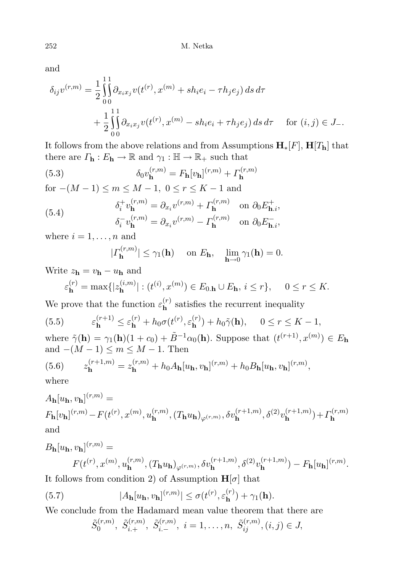and

$$
\delta_{ij}v^{(r,m)} = \frac{1}{2} \int_0^{11} \partial_{x_i x_j} v(t^{(r)}, x^{(m)} + sh_i e_i - \tau h_j e_j) ds d\tau + \frac{1}{2} \int_0^{11} \partial_{x_i x_j} v(t^{(r)}, x^{(m)} - sh_i e_i + \tau h_j e_j) ds d\tau \quad \text{for } (i, j) \in J_-.
$$

It follows from the above relations and from Assumptions  $H_*[F]$ ,  $H[T_h]$  that there are  $\Gamma_{\mathbf{h}} : E_{\mathbf{h}} \to \mathbb{R}$  and  $\gamma_1 : \mathbb{H} \to \mathbb{R}_+$  such that

(5.3) 
$$
\delta_0 v_{\mathbf{h}}^{(r,m)} = F_{\mathbf{h}}[v_{\mathbf{h}}]^{(r,m)} + \Gamma_{\mathbf{h}}^{(r,m)}
$$

for  $-(M-1) \le m \le M-1, 0 \le r \le K-1$  and

(5.4) 
$$
\delta_i^+ v_{\mathbf{h}}^{(r,m)} = \partial_{x_i} v^{(r,m)} + \Gamma_{\mathbf{h}}^{(r,m)} \quad \text{on } \partial_0 E_{\mathbf{h},i}^+, \n\delta_i^- v_{\mathbf{h}}^{(r,m)} = \partial_{x_i} v^{(r,m)} - \Gamma_{\mathbf{h}}^{(r,m)} \quad \text{on } \partial_0 E_{\mathbf{h},i}^-,
$$

where  $i = 1, \ldots, n$  and

<span id="page-15-4"></span><span id="page-15-3"></span>
$$
|\Gamma_{\mathbf{h}}^{(r,m)}| \le \gamma_1(\mathbf{h}) \quad \text{ on } E_{\mathbf{h}}, \quad \lim_{\mathbf{h}\to 0} \gamma_1(\mathbf{h}) = 0.
$$

Write  $z_{\mathbf{h}} = v_{\mathbf{h}} - u_{\mathbf{h}}$  and

<span id="page-15-2"></span>
$$
\varepsilon_{\mathbf{h}}^{(r)} = \max\{|z_{\mathbf{h}}^{(i,m)}| : (t^{(i)}, x^{(m)}) \in E_{0,\mathbf{h}} \cup E_{\mathbf{h}}, i \le r\}, \quad 0 \le r \le K.
$$

We prove that the function  $\varepsilon_{\mathbf{h}}^{(r)}$  $\mathbf{h}^{(r)}$  satisfies the recurrent inequality

(5.5) 
$$
\varepsilon_{\mathbf{h}}^{(r+1)} \leq \varepsilon_{\mathbf{h}}^{(r)} + h_0 \sigma(t^{(r)}, \varepsilon_{\mathbf{h}}^{(r)}) + h_0 \tilde{\gamma}(\mathbf{h}), \quad 0 \leq r \leq K - 1,
$$

where  $\tilde{\gamma}(\mathbf{h}) = \gamma_1(\mathbf{h})(1+c_0) + \tilde{B}^{-1}\alpha_0(\mathbf{h})$ . Suppose that  $(t^{(r+1)}, x^{(m)}) \in E_{\mathbf{h}}$ and  $-(M-1) \le m \le M-1$ . Then

<span id="page-15-0"></span>(5.6) 
$$
z_{\mathbf{h}}^{(r+1,m)} = z_{\mathbf{h}}^{(r,m)} + h_0 A_{\mathbf{h}}[u_{\mathbf{h}}, v_{\mathbf{h}}]^{(r,m)} + h_0 B_{\mathbf{h}}[u_{\mathbf{h}}, v_{\mathbf{h}}]^{(r,m)},
$$

where

$$
A_{\mathbf{h}}[u_{\mathbf{h}}, v_{\mathbf{h}}]^{(r,m)} =
$$
  
\n
$$
F_{\mathbf{h}}[v_{\mathbf{h}}]^{(r,m)} - F(t^{(r)}, x^{(m)}, u_{\mathbf{h}}^{(r,m)}, (T_{\mathbf{h}}u_{\mathbf{h}})_{\varphi^{(r,m)}}, \delta v_{\mathbf{h}}^{(r+1,m)}, \delta^{(2)}v_{\mathbf{h}}^{(r+1,m)}) + \Gamma_{\mathbf{h}}^{(r,m)}
$$
  
\nand

$$
B_{\mathbf{h}}[u_{\mathbf{h}}, v_{\mathbf{h}}]^{(r,m)} =
$$
  

$$
F(t^{(r)}, x^{(m)}, u_{\mathbf{h}}^{(r,m)}, (T_{\mathbf{h}}u_{\mathbf{h}})_{\varphi^{(r,m)}}, \delta v_{\mathbf{h}}^{(r+1,m)}, \delta^{(2)}v_{\mathbf{h}}^{(r+1,m)}) - F_{\mathbf{h}}[u_{\mathbf{h}}]^{(r,m)}.
$$

It follows from condition 2) of Assumption  $H[\sigma]$  that

(5.7) 
$$
|A_{\mathbf{h}}[u_{\mathbf{h}}, v_{\mathbf{h}}]^{(r,m)}| \leq \sigma(t^{(r)}, \varepsilon_{\mathbf{h}}^{(r)}) + \gamma_1(\mathbf{h}).
$$

We conclude from the Hadamard mean value theorem that there are

<span id="page-15-1"></span>
$$
\tilde{S}_0^{(r,m)}, \tilde{S}_{i,+}^{(r,m)}, \tilde{S}_{i,-}^{(r,m)}, i = 1, \ldots, n, \tilde{S}_{ij}^{(r,m)}, (i,j) \in J,
$$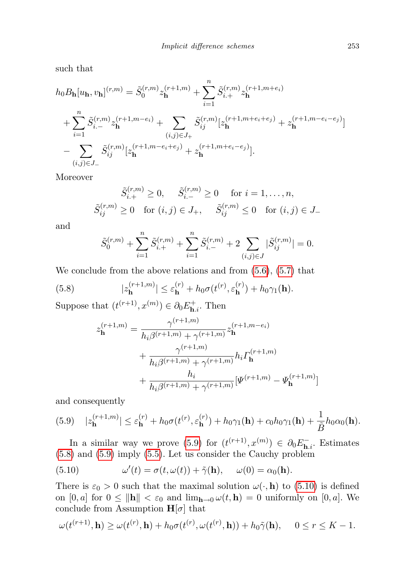such that

$$
h_0 B_{\mathbf{h}}[u_{\mathbf{h}}, v_{\mathbf{h}}]^{(r,m)} = \tilde{S}_0^{(r,m)} z_{\mathbf{h}}^{(r+1,m)} + \sum_{i=1}^n \tilde{S}_{i,+}^{(r,m)} z_{\mathbf{h}}^{(r+1,m+e_i)}
$$
  
+ 
$$
\sum_{i=1}^n \tilde{S}_{i,-}^{(r,m)} z_{\mathbf{h}}^{(r+1,m-e_i)} + \sum_{(i,j) \in J_+} \tilde{S}_{ij}^{(r,m)} [z_{\mathbf{h}}^{(r+1,m+e_i+e_j)} + z_{\mathbf{h}}^{(r+1,m-e_i-e_j)}]
$$
  
- 
$$
\sum_{(i,j) \in J_-} \tilde{S}_{ij}^{(r,m)} [z_{\mathbf{h}}^{(r+1,m-e_i+e_j)} + z_{\mathbf{h}}^{(r+1,m+e_i-e_j)}].
$$

Moreover

$$
\tilde{S}_{i,+}^{(r,m)} \ge 0, \quad \tilde{S}_{i,-}^{(r,m)} \ge 0 \quad \text{for } i = 1, ..., n,
$$
  

$$
\tilde{S}_{ij}^{(r,m)} \ge 0 \quad \text{for } (i,j) \in J_+, \quad \tilde{S}_{ij}^{(r,m)} \le 0 \quad \text{for } (i,j) \in J_-
$$

and

$$
\tilde{S}_0^{(r,m)} + \sum_{i=1}^n \tilde{S}_{i,+}^{(r,m)} + \sum_{i=1}^n \tilde{S}_{i,-}^{(r,m)} + 2 \sum_{(i,j) \in J} |\tilde{S}_{ij}^{(r,m)}| = 0.
$$

We conclude from the above relations and from  $(5.6)$ ,  $(5.7)$  that

(5.8) 
$$
|z_{\mathbf{h}}^{(r+1,m)}| \leq \varepsilon_{\mathbf{h}}^{(r)} + h_0 \sigma(t^{(r)}, \varepsilon_{\mathbf{h}}^{(r)}) + h_0 \gamma_1(\mathbf{h}).
$$

Suppose that  $(t^{(r+1)}, x^{(m)}) \in \partial_0 E_{\mathbf{h},i}^+$ . Then

<span id="page-16-1"></span>
$$
z_{\mathbf{h}}^{(r+1,m)} = \frac{\gamma^{(r+1,m)}}{h_i \beta^{(r+1,m)} + \gamma^{(r+1,m)}} z_{\mathbf{h}}^{(r+1,m-e_i)}
$$
  
+ 
$$
\frac{\gamma^{(r+1,m)}}{h_i \beta^{(r+1,m)} + \gamma^{(r+1,m)}} h_i \Gamma_{\mathbf{h}}^{(r+1,m)}
$$
  
+ 
$$
\frac{h_i}{h_i \beta^{(r+1,m)} + \gamma^{(r+1,m)}} [\Psi^{(r+1,m)} - \Psi_{\mathbf{h}}^{(r+1,m)}]
$$

and consequently

<span id="page-16-0"></span>
$$
(5.9) \quad |z_{\mathbf{h}}^{(r+1,m)}| \leq \varepsilon_{\mathbf{h}}^{(r)} + h_0 \sigma(t^{(r)}, \varepsilon_{\mathbf{h}}^{(r)}) + h_0 \gamma_1(\mathbf{h}) + c_0 h_0 \gamma_1(\mathbf{h}) + \frac{1}{\tilde{B}} h_0 \alpha_0(\mathbf{h}).
$$

In a similar way we prove [\(5.9\)](#page-16-0) for  $(t^{(r+1)}, x^{(m)}) \in \partial_0 E_{\mathbf{h},i}^-$ . Estimates [\(5.8\)](#page-16-1) and [\(5.9\)](#page-16-0) imply [\(5.5\)](#page-15-2). Let us consider the Cauchy problem

<span id="page-16-2"></span>(5.10) 
$$
\omega'(t) = \sigma(t, \omega(t)) + \tilde{\gamma}(\mathbf{h}), \quad \omega(0) = \alpha_0(\mathbf{h}).
$$

There is  $\varepsilon_0 > 0$  such that the maximal solution  $\omega(\cdot, \mathbf{h})$  to [\(5.10\)](#page-16-2) is defined on  $[0, a]$  for  $0 \le ||\mathbf{h}|| < \varepsilon_0$  and  $\lim_{\mathbf{h} \to 0} \omega(t, \mathbf{h}) = 0$  uniformly on  $[0, a]$ . We conclude from Assumption  $H[\sigma]$  that

$$
\omega(t^{(r+1)}, \mathbf{h}) \ge \omega(t^{(r)}, \mathbf{h}) + h_0 \sigma(t^{(r)}, \omega(t^{(r)}, \mathbf{h})) + h_0 \tilde{\gamma}(\mathbf{h}), \quad 0 \le r \le K - 1.
$$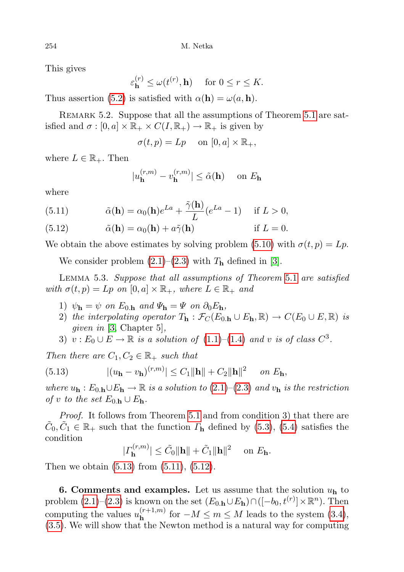This gives

 $\varepsilon_{\mathbf{h}}^{(r)} \le \omega(t^{(r)}, \mathbf{h}) \quad \text{ for } 0 \le r \le K.$ 

Thus assertion [\(5.2\)](#page-14-1) is satisfied with  $\alpha(\mathbf{h}) = \omega(a, \mathbf{h}).$ 

REMARK 5.2. Suppose that all the assumptions of Theorem [5.1](#page-14-2) are satisfied and  $\sigma : [0, a] \times \mathbb{R}_+ \times C(I, \mathbb{R}_+) \to \mathbb{R}_+$  is given by

$$
\sigma(t, p) = Lp \quad \text{ on } [0, a] \times \mathbb{R}_+,
$$

where  $L \in \mathbb{R}_+$ . Then

$$
|u_{\mathbf{h}}^{(r,m)} - v_{\mathbf{h}}^{(r,m)}| \le \tilde{\alpha}(\mathbf{h}) \quad \text{ on } E_{\mathbf{h}}
$$

where

<span id="page-17-1"></span>(5.11) 
$$
\tilde{\alpha}(\mathbf{h}) = \alpha_0(\mathbf{h})e^{La} + \frac{\tilde{\gamma}(\mathbf{h})}{L}(e^{La} - 1) \quad \text{if } L > 0,
$$

<span id="page-17-2"></span>(5.12) 
$$
\tilde{\alpha}(\mathbf{h}) = \alpha_0(\mathbf{h}) + a\tilde{\gamma}(\mathbf{h}) \quad \text{if } L = 0.
$$

We obtain the above estimates by solving problem [\(5.10\)](#page-16-2) with  $\sigma(t, p) = Lp$ .

We consider problem  $(2.1)$ – $(2.3)$  with  $T<sub>h</sub>$  defined in [\[3\]](#page-21-18).

Lemma 5.3. Suppose that all assumptions of Theorem [5.1](#page-14-2) are satisfied with  $\sigma(t, p) = Lp$  on  $[0, a] \times \mathbb{R}_+$ , where  $L \in \mathbb{R}_+$  and

- 1)  $\psi_{\mathbf{h}} = \psi$  on  $E_{0,\mathbf{h}}$  and  $\Psi_{\mathbf{h}} = \Psi$  on  $\partial_0 E_{\mathbf{h}}$ ,
- 2) the interpolating operator  $T_{\mathbf{h}} : \mathcal{F}_C(E_{0,\mathbf{h}} \cup E_{\mathbf{h}}, \mathbb{R}) \to C(E_0 \cup E, \mathbb{R})$  is *given in* [\[3,](#page-21-18) Chapter 5],
- <span id="page-17-0"></span>3)  $v: E_0 \cup E \to \mathbb{R}$  is a solution of [\(1.1\)](#page-1-0)–[\(1.4\)](#page-1-1) and v is of class  $C^3$ .

Then there are  $C_1, C_2 \in \mathbb{R}_+$  such that

(5.13) 
$$
|(u_{\mathbf{h}} - v_{\mathbf{h}})^{(r,m)}| \leq C_1 ||\mathbf{h}|| + C_2 ||\mathbf{h}||^2 \quad on \ E_{\mathbf{h}},
$$

where  $u_{\mathbf{h}}: E_{0,\mathbf{h}} \cup E_{\mathbf{h}} \to \mathbb{R}$  is a solution to  $(2.1)$ – $(2.3)$  and  $v_{\mathbf{h}}$  is the restriction of v to the set  $E_{0,\mathbf{h}} \cup E_{\mathbf{h}}$ .

Proof. It follows from Theorem [5.1](#page-14-2) and from condition 3) that there are  $\tilde{C}_0, \tilde{C}_1 \in \mathbb{R}_+$  such that the function  $\Gamma_{h}$  defined by [\(5.3\)](#page-15-3), [\(5.4\)](#page-15-4) satisfies the condition

 $|\Gamma_{\mathbf{h}}^{(r,m)}|$  $|\mathbf{h}_{\mathbf{h}}^{(r,m)}| \leq \tilde{C}_0 \|\mathbf{h}\| + \tilde{C}_1 \|\mathbf{h}\|^2 \quad \text{ on } E_{\mathbf{h}}.$ 

Then we obtain [\(5.13\)](#page-17-0) from [\(5.11\)](#page-17-1), [\(5.12\)](#page-17-2).

6. Comments and examples. Let us assume that the solution  $u<sub>h</sub>$  to problem  $(2.1)$ – $(2.3)$  is known on the set  $(E_{0,h} \cup E_h) \cap ([-b_0, t^{(r)}] \times \mathbb{R}^n)$ . Then computing the values  $u_{\mathbf{h}}^{(r+1,m)}$  $\mathbf{h}^{(r+1,m)}$  for  $-M \leq m \leq M$  leads to the system  $(3.4)$ , [\(3.5\)](#page-7-1). We will show that the Newton method is a natural way for computing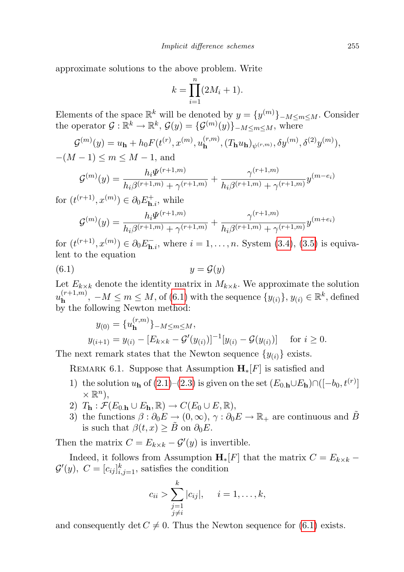approximate solutions to the above problem. Write

$$
k = \prod_{i=1}^{n} (2M_i + 1).
$$

Elements of the space  $\mathbb{R}^k$  will be denoted by  $y = \{y^{(m)}\}_{-M \le m \le M}$ . Consider the operator  $\mathcal{G}: \mathbb{R}^k \to \mathbb{R}^k$ ,  $\mathcal{G}(y) = {\{\mathcal{G}^{(m)}(y)\}}_{-M \le m \le M}$ , where

$$
\mathcal{G}^{(m)}(y) = u_{\mathbf{h}} + h_0 F(t^{(r)}, x^{(m)}, u_{\mathbf{h}}^{(r,m)}, (T_{\mathbf{h}} u_{\mathbf{h}})_{\psi^{(r,m)}}, \delta y^{(m)}, \delta^{(2)} y^{(m)}),
$$

 $-(M-1) \le m \le M-1$ , and

$$
\mathcal{G}^{(m)}(y) = \frac{h_i \Psi^{(r+1,m)}}{h_i \beta^{(r+1,m)} + \gamma^{(r+1,m)}} + \frac{\gamma^{(r+1,m)}}{h_i \beta^{(r+1,m)} + \gamma^{(r+1,m)}} y^{(m-e_i)}
$$

for  $(t^{(r+1)}, x^{(m)}) \in \partial_0 E_{\mathbf{h},i}^+$ , while

$$
\mathcal{G}^{(m)}(y) = \frac{h_i \Psi^{(r+1,m)}}{h_i \beta^{(r+1,m)} + \gamma^{(r+1,m)}} + \frac{\gamma^{(r+1,m)}}{h_i \beta^{(r+1,m)} + \gamma^{(r+1,m)}} y^{(m+e_i)}
$$

for  $(t^{(r+1)}, x^{(m)}) \in \partial_0 E_{\mathbf{h},i}^-$ , where  $i = 1, ..., n$ . System  $(3.4), (3.5)$  $(3.4), (3.5)$  $(3.4), (3.5)$  is equivalent to the equation

$$
(6.1) \t\t y = \mathcal{G}(y)
$$

Let  $E_{k\times k}$  denote the identity matrix in  $M_{k\times k}$ . We approximate the solution  $u_{\mathbf{h}}^{(r+1,m)}$  $\mathbf{h}^{(r+1,m)}$ ,  $-M \leq m \leq M$ , of  $(6.1)$  with the sequence  $\{y_{(i)}\}, y_{(i)} \in \mathbb{R}^k$ , defined by the following Newton method:

<span id="page-18-0"></span>
$$
y_{(0)} = \{u_{\mathbf{h}}^{(r,m)}\}_{-M \le m \le M},
$$
  

$$
y_{(i+1)} = y_{(i)} - [E_{k \times k} - \mathcal{G}'(y_{(i)})]^{-1}[y_{(i)} - \mathcal{G}(y_{(i)})]
$$
 for  $i \ge 0$ .

The next remark states that the Newton sequence  $\{y_{(i)}\}$  exists.

REMARK 6.1. Suppose that Assumption  $\mathbf{H}_*[F]$  is satisfied and

- 1) the solution  $u_{h}$  of [\(2.1\)](#page-5-0)–[\(2.3\)](#page-5-1) is given on the set  $(E_{0,h} \cup E_{h}) \cap ([-b_{0}, t^{(r)}]$  $\times \mathbb{R}^n$ ,
- 2)  $T_{\mathbf{h}} : \mathcal{F}(E_{0,\mathbf{h}} \cup E_{\mathbf{h}}, \mathbb{R}) \to C(E_0 \cup E, \mathbb{R}),$
- 3) the functions  $\beta : \partial_0 E \to (0, \infty), \gamma : \partial_0 E \to \mathbb{R}_+$  are continuous and  $\tilde{B}$ is such that  $\beta(t, x) \geq \tilde{B}$  on  $\partial_0 E$ .

Then the matrix  $C = E_{k \times k} - \mathcal{G}'(y)$  is invertible.

Indeed, it follows from Assumption  $\mathbf{H}_{*}[F]$  that the matrix  $C = E_{k \times k}$  –  $\mathcal{G}'(y)$ ,  $C = [c_{ij}]_{i,j=1}^k$ , satisfies the condition

$$
c_{ii} > \sum_{\substack{j=1 \ j \neq i}}^{k} |c_{ij}|, \quad i = 1, ..., k,
$$

and consequently det  $C \neq 0$ . Thus the Newton sequence for [\(6.1\)](#page-18-0) exists.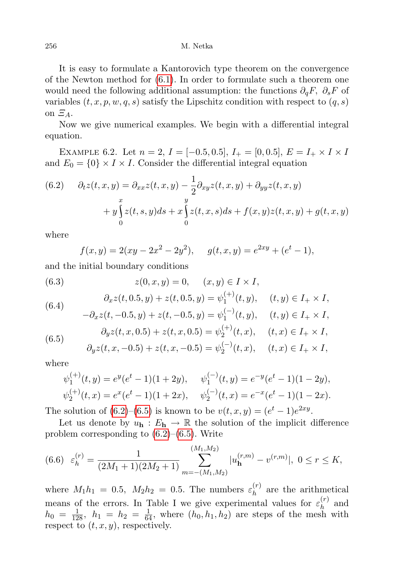It is easy to formulate a Kantorovich type theorem on the convergence of the Newton method for [\(6.1\)](#page-18-0). In order to formulate such a theorem one would need the following additional assumption: the functions  $\partial_q F$ ,  $\partial_s F$  of variables  $(t, x, p, w, q, s)$  satisfy the Lipschitz condition with respect to  $(q, s)$ on  $\Xi_A$ .

Now we give numerical examples. We begin with a differential integral equation.

EXAMPLE 6.2. Let  $n = 2$ ,  $I = [-0.5, 0.5]$ ,  $I_+ = [0, 0.5]$ ,  $E = I_+ \times I \times I$ and  $E_0 = \{0\} \times I \times I$ . Consider the differential integral equation

<span id="page-19-0"></span>(6.2) 
$$
\partial_t z(t, x, y) = \partial_{xx} z(t, x, y) - \frac{1}{2} \partial_{xy} z(t, x, y) + \partial_{yy} z(t, x, y)
$$

$$
+ y \int_0^x z(t, s, y) ds + x \int_0^y z(t, x, s) ds + f(x, y) z(t, x, y) + g(t, x, y)
$$

where

$$
f(x,y) = 2(xy - 2x^{2} - 2y^{2}), \quad g(t,x,y) = e^{2xy} + (e^{t} - 1),
$$

and the initial boundary conditions

(6.3) 
$$
z(0, x, y) = 0, \quad (x, y) \in I \times I,
$$

(6.4) 
$$
\partial_x z(t, 0.5, y) + z(t, 0.5, y) = \psi_1^{(+)}(t, y), \quad (t, y) \in I_+ \times I,
$$

$$
-\partial_x z(t, -0.5, y) + z(t, -0.5, y) = \psi_1^{(-)}(t, y), \quad (t, y) \in I_+ \times I,
$$

<span id="page-19-1"></span>(6.5) 
$$
\partial_y z(t, x, 0.5) + z(t, x, 0.5) = \psi_2^{(+)}(t, x), \quad (t, x) \in I_+ \times I,
$$

$$
\partial_y z(t, x, -0.5) + z(t, x, -0.5) = \psi_2^{(-)}(t, x), \quad (t, x) \in I_+ \times I,
$$

where

$$
\psi_1^{(+)}(t,y) = e^y(e^t - 1)(1+2y), \quad \psi_1^{(-)}(t,y) = e^{-y}(e^t - 1)(1-2y),
$$
  

$$
\psi_2^{(+)}(t,x) = e^x(e^t - 1)(1+2x), \quad \psi_2^{(-)}(t,x) = e^{-x}(e^t - 1)(1-2x).
$$

The solution of  $(6.2)$ – $(6.5)$  is known to be  $v(t, x, y) = (e^t - 1)e^{2xy}$ .

Let us denote by  $u_{h}: E_{h} \to \mathbb{R}$  the solution of the implicit difference problem corresponding to  $(6.2)$ – $(6.5)$ . Write

<span id="page-19-2"></span>
$$
(6.6) \varepsilon_h^{(r)} = \frac{1}{(2M_1+1)(2M_2+1)} \sum_{m=-(M_1,M_2)}^{(M_1,M_2)} |u_{\mathbf{h}}^{(r,m)} - v^{(r,m)}|, \ 0 \le r \le K,
$$

where  $M_1 h_1 = 0.5$ ,  $M_2 h_2 = 0.5$ . The numbers  $\varepsilon_h^{(r)}$  $h^{(r)}$  are the arithmetical means of the errors. In Table I we give experimental values for  $\varepsilon_h^{(r)}$  $h^{(r)}$  and  $h_0 = \frac{1}{128}$ ,  $h_1 = h_2 = \frac{1}{64}$ , where  $(h_0, h_1, h_2)$  are steps of the mesh with respect to  $(t, x, y)$ , respectively.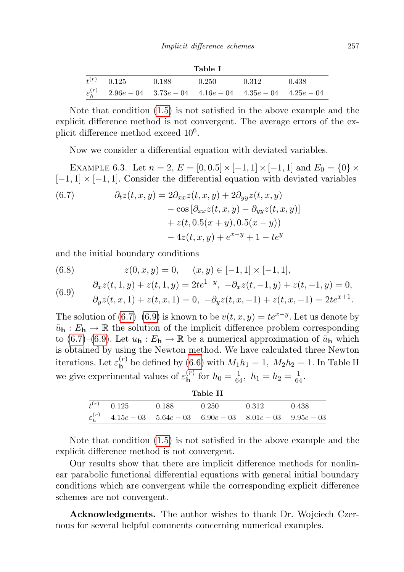| Table I |                                                                              |                 |  |       |  |  |  |  |
|---------|------------------------------------------------------------------------------|-----------------|--|-------|--|--|--|--|
|         | $t^{(r)}$ 0.125 0.188                                                        | $0.250$ $0.312$ |  | 0.438 |  |  |  |  |
|         | $\varepsilon_h^{(r)}$ 2.96e - 04 3.73e - 04 4.16e - 04 4.35e - 04 4.25e - 04 |                 |  |       |  |  |  |  |

Note that condition [\(1.5\)](#page-2-0) is not satisfied in the above example and the explicit difference method is not convergent. The average errors of the explicit difference method exceed  $10^6$ .

Now we consider a differential equation with deviated variables.

EXAMPLE 6.3. Let  $n = 2$ ,  $E = [0, 0.5] \times [-1, 1] \times [-1, 1]$  and  $E_0 = \{0\} \times$  $[-1, 1] \times [-1, 1]$ . Consider the differential equation with deviated variables

<span id="page-20-0"></span>(6.7) 
$$
\partial_t z(t, x, y) = 2\partial_{xx} z(t, x, y) + 2\partial_{yy} z(t, x, y)
$$

$$
- \cos \left[\partial_{xx} z(t, x, y) - \partial_{yy} z(t, x, y)\right]
$$

$$
+ z(t, 0.5(x + y), 0.5(x - y))
$$

$$
- 4z(t, x, y) + e^{x - y} + 1 - te^{y}
$$

and the initial boundary conditions

<span id="page-20-1"></span>(6.8) 
$$
z(0, x, y) = 0, \quad (x, y) \in [-1, 1] \times [-1, 1],
$$

$$
\partial_x z(t, 1, y) + z(t, 1, y) = 2te^{1-y}, \quad -\partial_x z(t, -1, y) + z(t, -1, y) = 0,
$$

$$
\partial_y z(t, x, 1) + z(t, x, 1) = 0, \quad -\partial_y z(t, x, -1) + z(t, x, -1) = 2te^{x+1}.
$$

The solution of [\(6.7\)](#page-20-0)–[\(6.9\)](#page-20-1) is known to be  $v(t, x, y) = te^{x-y}$ . Let us denote by  $\tilde{u}_{h}: E_{h} \to \mathbb{R}$  the solution of the implicit difference problem corresponding to [\(6.7\)](#page-20-0)–[\(6.9\)](#page-20-1). Let  $u_{\bf h}: E_{\bf h} \to \mathbb{R}$  be a numerical approximation of  $\tilde{u}_{\bf h}$  which is obtained by using the Newton method. We have calculated three Newton iterations. Let  $\varepsilon_{\mathbf{h}}^{(r)}$  $h^{\left(\prime\prime\right)}$  be defined by [\(6.6\)](#page-19-2) with  $M_1h_1=1$ ,  $M_2h_2=1$ . In Table II we give experimental values of  $\varepsilon_{\mathbf{h}}^{(r)}$  $h^{(r)}$  for  $h_0 = \frac{1}{64}$ ,  $h_1 = h_2 = \frac{1}{64}$ .

| Table II        |       |                                                                              |       |       |  |  |  |  |  |
|-----------------|-------|------------------------------------------------------------------------------|-------|-------|--|--|--|--|--|
| $t^{(r)}$ 0.125 | 0.188 | 0.250                                                                        | 0.312 | 0.438 |  |  |  |  |  |
|                 |       | $\varepsilon_h^{(r)}$ 4.15e - 03 5.64e - 03 6.90e - 03 8.01e - 03 9.95e - 03 |       |       |  |  |  |  |  |

Note that condition [\(1.5\)](#page-2-0) is not satisfied in the above example and the explicit difference method is not convergent.

Our results show that there are implicit difference methods for nonlinear parabolic functional differential equations with general initial boundary conditions which are convergent while the corresponding explicit difference schemes are not convergent.

Acknowledgments. The author wishes to thank Dr. Wojciech Czernous for several helpful comments concerning numerical examples.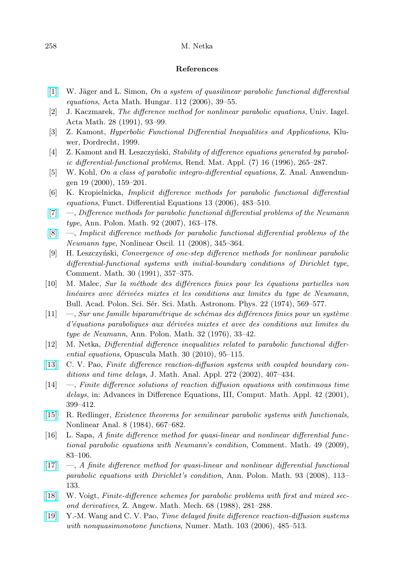## References

- <span id="page-21-15"></span> $[1]$  W. Jäger and L. Simon, On a system of quasilinear parabolic functional differential equations, Acta Math. Hungar. 112 (2006), 39–55.
- <span id="page-21-0"></span>[2] J. Kaczmarek, The difference method for nonlinear parabolic equations, Univ. Iagel. Acta Math. 28 (1991), 93–99.
- <span id="page-21-18"></span>[3] Z. Kamont, Hyperbolic Functional Differential Inequalities and Applications, Kluwer, Dordrecht, 1999.
- <span id="page-21-2"></span>[4] Z. Kamont and H. Leszczyński, Stability of difference equations generated by parabolic differential-functional problems, Rend. Mat. Appl. (7) 16 (1996), 265–287.
- <span id="page-21-16"></span>[5] W. Kohl, On a class of parabolic integro-differential equations, Z. Anal. Anwendungen 19 (2000), 159–201.
- <span id="page-21-11"></span>[6] K. Kropielnicka, Implicit difference methods for parabolic functional differential equations, Funct. Differential Equations 13 (2006), 483–510.
- <span id="page-21-6"></span> $[7] \quad$  $[7] \quad$ —, Difference methods for parabolic functional differential problems of the Neumann type, Ann. Polon. Math. 92 (2007), 163–178.
- <span id="page-21-12"></span>[\[8\]](http://dx.doi.org/10.1007/s11072-009-0035-y) —, Implicit difference methods for parabolic functional differential problems of the Neumann type, Nonlinear Oscil. 11 (2008), 345–364.
- <span id="page-21-3"></span>[9] H. Leszczyński, Convergence of one-step difference methods for nonlinear parabolic differential-functional systems with initial-boundary conditions of Dirichlet type, Comment. Math. 30 (1991), 357–375.
- <span id="page-21-7"></span>[10] M. Malec, Sur la méthode des différences finies pour les équations partielles non linéaires avec dérivées mixtes et les conditions aux limites du type de Neumann, Bull. Acad. Polon. Sci. Sér. Sci. Math. Astronom. Phys. 22 (1974), 569–577.
- <span id="page-21-13"></span> $[11] \quad -$ , Sur une famille biparamétrique de schémas des différences finies pour un système d'équations paraboliques aux dérivées mixtes et avec des conditions aux limites du type de Neumann, Ann. Polon. Math. 32 (1976), 33–42.
- <span id="page-21-14"></span>[12] M. Netka, Differential difference inequalities related to parabolic functional differential equations, Opuscula Math. 30 (2010), 95–115.
- <span id="page-21-8"></span>[\[13\]](http://dx.doi.org/10.1016/S0022-247X(02)00145-2) C. V. Pao, Finite difference reaction-diffusion systems with coupled boundary conditions and time delays, J. Math. Anal. Appl. 272 (2002), 407–434.
- <span id="page-21-9"></span>[14] —, Finite difference solutions of reaction diffusion equations with continuous time delays, in: Advances in Difference Equations, III, Comput. Math. Appl. 42 (2001), 399–412.
- <span id="page-21-17"></span>[\[15\]](http://dx.doi.org/10.1016/0362-546X(84)90011-7) R. Redlinger, Existence theorems for semilinear parabolic systems with functionals, Nonlinear Anal. 8 (1984), 667–682.
- <span id="page-21-4"></span>[16] L. Sapa, A finite difference method for quasi-linear and nonlinear differential functional parabolic equations with Neumann's condition, Comment. Math. 49 (2009), 83–106.
- <span id="page-21-5"></span>[\[17\]](http://dx.doi.org/10.4064/ap93-2-2) —, A finite difference method for quasi-linear and nonlinear differential functional parabolic equations with Dirichlet's condition, Ann. Polon. Math. 93 (2008), 113– 133.
- <span id="page-21-1"></span>[\[18\]](http://dx.doi.org/10.1002/zamm.19880680703) W. Voigt, Finite-difference schemes for parabolic problems with first and mixed second derivatives, Z. Angew. Math. Mech. 68 (1988), 281–288.
- <span id="page-21-10"></span>[\[19\]](http://dx.doi.org/10.1007/s00211-006-0685-y) Y.-M. Wang and C. V. Pao, Time delayed finite difference reaction-diffusion sustems with nonquasimonotone functions, Numer. Math. 103 (2006), 485–513.